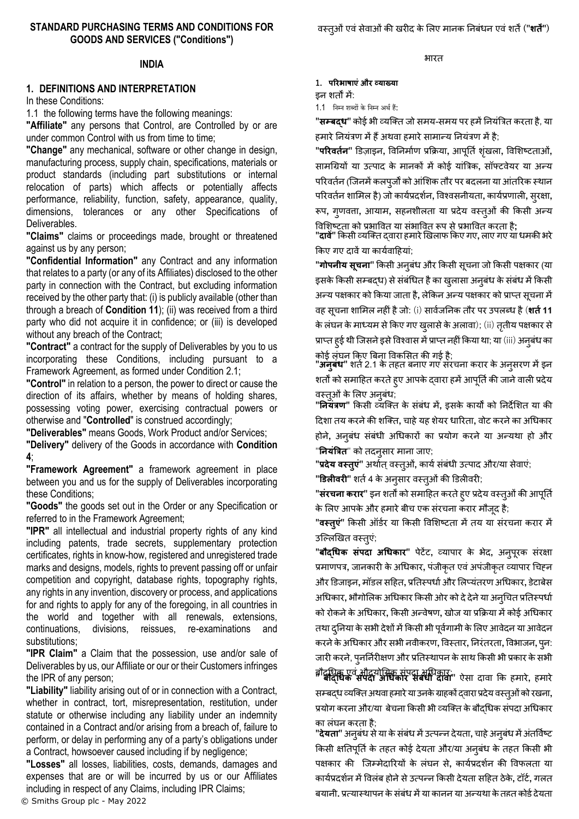#### **INDIA**

# **1. DEFINITIONS AND INTERPRETATION**

In these Conditions:

1.1 the following terms have the following meanings:

**"Affiliate"** any persons that Control, are Controlled by or are under common Control with us from time to time;

**"Change"** any mechanical, software or other change in design, manufacturing process, supply chain, specifications, materials or product standards (including part substitutions or internal relocation of parts) which affects or potentially affects performance, reliability, function, safety, appearance, quality, dimensions, tolerances or any other Specifications of Deliverables.

**"Claims"** claims or proceedings made, brought or threatened against us by any person;

**"Confidential Information"** any Contract and any information that relates to a party (or any of its Affiliates) disclosed to the other party in connection with the Contract, but excluding information received by the other party that: (i) is publicly available (other than through a breach of **Condition [11](#page-8-0)**); (ii) was received from a third party who did not acquire it in confidence; or (iii) is developed without any breach of the Contract;

**"Contract"** a contract for the supply of Deliverables by you to us incorporating these Conditions, including pursuant to a Framework Agreement, as formed under Condition [2.1;](#page-1-0)

**"Control"** in relation to a person, the power to direct or cause the direction of its affairs, whether by means of holding shares, possessing voting power, exercising contractual powers or otherwise and "**Controlled**" is construed accordingly;

**"Deliverables"** means Goods, Work Product and/or Services;

**"Delivery"** delivery of the Goods in accordance with **Condition [4](#page-2-0)**;

**"Framework Agreement"** a framework agreement in place between you and us for the supply of Deliverables incorporating these Conditions;

**"Goods"** the goods set out in the Order or any Specification or referred to in the Framework Agreement;

**"IPR"** all intellectual and industrial property rights of any kind including patents, trade secrets, supplementary protection certificates, rights in know-how, registered and unregistered trade marks and designs, models, rights to prevent passing off or unfair competition and copyright, database rights, topography rights, any rights in any invention, discovery or process, and applications for and rights to apply for any of the foregoing, in all countries in the world and together with all renewals, extensions, continuations, divisions, reissues, re-examinations and substitutions;

**"IPR Claim"** a Claim that the possession, use and/or sale of Deliverables by us, our Affiliate or our or their Customers infringes the IPR of any person;

**"Liability"** liability arising out of or in connection with a Contract, whether in contract, tort, misrepresentation, restitution, under statute or otherwise including any liability under an indemnity contained in a Contract and/or arising from a breach of, failure to perform, or delay in performing any of a party's obligations under a Contract, howsoever caused including if by negligence;

© Smiths Group plc - May 2022 **"Losses"** all losses, liabilities, costs, demands, damages and expenses that are or will be incurred by us or our Affiliates including in respect of any Claims, including IPR Claims;

**1. परिभाषाएंऔि व्याख्या**

इन शतों में:

1.1 निम्ि शब्दों केनिम्ि अर्थहैं:

"**सम्बदध**" कोई भी व्यक्ति जो समय-समय पर हमें नियंत्रित करता है, या हमारे नियंत्रण में हैं अथवा हमारे सामान्य नियंत्रण में है;

**"परिवर्ततन"** डिजाइन**,** ववननमााण प्रक्रिया**,** आपूनताशंख िा**,** ववलशष्टताओं**,** सामग्रियों या उत्पाद के मानकों मेंकोई यांत्रिक**,** सॉफ्टवेयर या अन्य परिवर्तन (जिनमें कलपूर्जों को आंशिक तौर पर बदलना या आंतरिक स्थान पररवतान शालमि है) जो कायाप्रदशान**,** ववश्वसनीयता**,** कायाप्रणािी**,** सुरक्षा**,**

रूप**,** गुणवत्ता**,** आयाम**,** सहनशीिता या प्रदेय वस्तुओं की क्रकसी अन्य ववलशष्टता को प्रभाववत या संभाववत रूप सेप्रभाववत करता है**;**

**"दावें"** क्रकसी व्यक्तत द्वारा हमारेखखिाफ क्रकए गए**,** िाए गए या धमकी भरे क्रकए गए दावेंया कायावाहहयां;

**"गोपनीय सचू ना"** क्रकसी अनुबंध और क्रकसी सूचना जो क्रकसी पक्षकार (या इसके किसी सम्बद्ध) से संबंधित है का खुलासा अनुबंध के संबंध में किसी अन्य पक्षकार को किया जाता है, लेकिन अन्य पक्षकार को प्राप्त सूचना में वह सूचना शालमि नहींहैजो: (i) सावाजननक तौर पर उपिब्ध है(**शर्तत11** के लंघन के माध्यम से किए गए खुलासे के अलावा); (ii) ततीय पक्षकार से प्राप्त हुई थी जिसने इसे विश्वास में प्राप्त नहीं किया था; या (iii) अनुबंध का कोई िंघन क्रकए त्रबना ववकलसत की गई है;

**"अनुबंध"** शर्त 2.1 के तहत बनाए गए संरचना करार के अनुसरण में इन शर्तों को समाहित करते हुए आपके दवारा हमें आपूर्ति की जाने वाली प्रदेय वस्तुओं के लिए अनुबंध;

**"ननयंत्रण"** क्रकसी व्यक्तत के संबंध में**,** इसके कायों को ननदेलशत या की हदशा तय करनेकी शक्तत**,** चाहेयह शेयर धाररता**,** वोट करनेका अग्रधकार होने**,** अनुबंध संबंधी अग्रधकारों का प्रयोग करने या अन्यथा हो और "**नियंत्रित**" को तदन्**सार माना जाए**;

"प्रदेय वस्तुएं" अर्थात् वस्तुओं, कार्य संबंधी उत्पाद और/या सेवाएं; **"डिलीवरी"** शर्त 4 के अनुसार वस्त्ओं की डिलीवरी;

"**संरचना करार**" इन शर्तों को समाहित करते हुए प्रदेय वस्तुओं की आपूर्ति के लिए आपके और हमारेबीच एक संरचना करार मौजूद है;

"**वस्तुएं**" किसी ऑर्डर या किसी विशिष्टता में तय या संरचना करार में उक्लिखखत वस्तुएं;

**"बौद्धधक संपदा अधधकाि"** पेटेंट**,** व्यापार के भेद**,** अनुपूरक संरक्षा प्रमाणपत्र, जानकारी के अधिकार, पंजीकृत एवं अपंजीकृत व्यापार चिहन और डिजाइन**,** मॉिि सहहत**,** प्रनतस्पधााऔर लिप्यंतरण अग्रधकार**,** िेटाबेस अधिकार, भौगोलिक अधिकार किसी ओर को दे देने या अन्**चित प्रति**स्पर्धा को रोकनेकेअग्रधकार**,** क्रकसी अन्वेषण**,** खोज या प्रक्रिया मेंकोई अग्रधकार तथा दुनिया के सभी देशों में किसी भी पूर्वगामी के लिए आवेदन या आवेदन करनेकेअग्रधकार और सभी नवीकरण**,** ववस्तार**,** ननरंतरता**,** ववभाजन**,** पनु : जारी करने, पुनर्निरीक्षण और प्रतिस्थापन के साथ किसी भी प्रकार के सभी

बौद्ग्रधक एवंऔद्योग्रगक संपदा अग्रधकार; **" बौद्धधक संपदा अधधकाि संबंधी दावा"** ऐसा दावा क्रक हमारे**,** हमारे सम्बद्ध व्यक्तत अथवा हमारेया उनकेिाहकों द्वारा प्रदेयवस्तओु ंको रखना**,** प्रयोग करना और/या बेचना किसी भी व्यक्ति के बौदधिक संपदा अधिकार का िंघन करता है;

"**देयता**" अनुबंध से या के संबंध में उत्पन्न देयता, चाहे अनुबंध में अंतर्विष्ट किसी क्षतिपूर्ति के तहत कोई देयता और/या अनुबंध के तहत किसी भी पक्षकार की क्जम्मेदाररयों के िंघन से**,** कायाप्रदशान की ववफिता या कायाप्रदशान मेंवविंब होनेसेउत्पन्न क्रकसी देयता सहहत ठेके**,** टॉटा**,** गित बयानी**,** प्रत्यास्थापन केसंबंध मेंया कानून या अन्यथा केतहत कोई देयता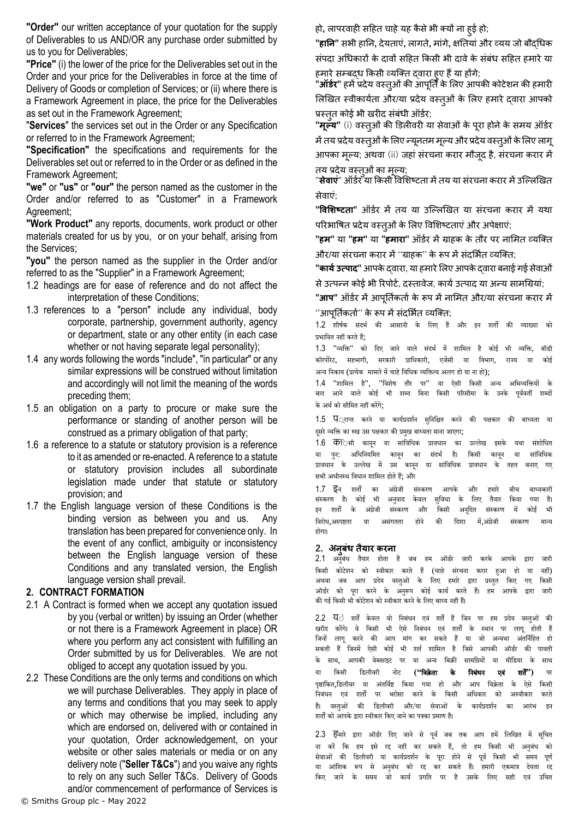**"Order"** our written acceptance of your quotation for the supply of Deliverables to us AND/OR any purchase order submitted by us to you for Deliverables;

**"Price"** (i) the lower of the price for the Deliverables set out in the Order and your price for the Deliverables in force at the time of Delivery of Goods or completion of Services; or (ii) where there is a Framework Agreement in place, the price for the Deliverables as set out in the Framework Agreement;

"**Services**" the services set out in the Order or any Specification or referred to in the Framework Agreement;

**"Specification"** the specifications and requirements for the Deliverables set out or referred to in the Order or as defined in the Framework Agreement;

**"we"** or **"us"** or **"our"** the person named as the customer in the Order and/or referred to as "Customer" in a Framework Agreement;

**"Work Product"** any reports, documents, work product or other materials created for us by you, or on your behalf, arising from the Services;

**"you"** the person named as the supplier in the Order and/or referred to as the "Supplier" in a Framework Agreement;

- 1.2 headings are for ease of reference and do not affect the interpretation of these Conditions;
- 1.3 references to a "person" include any individual, body corporate, partnership, government authority, agency or department, state or any other entity (in each case whether or not having separate legal personality);
- 1.4 any words following the words "include", "in particular" or any similar expressions will be construed without limitation and accordingly will not limit the meaning of the words preceding them;
- 1.5 an obligation on a party to procure or make sure the performance or standing of another person will be construed as a primary obligation of that party;
- 1.6 a reference to a statute or statutory provision is a reference to it as amended or re-enacted. A reference to a statute or statutory provision includes all subordinate legislation made under that statute or statutory provision; and
- 1.7 the English language version of these Conditions is the binding version as between you and us. Any translation has been prepared for convenience only. In the event of any conflict, ambiguity or inconsistency between the English language version of these Conditions and any translated version, the English language version shall prevail.

#### **2. CONTRACT FORMATION**

- <span id="page-1-0"></span>2.1 A Contract is formed when we accept any quotation issued by you (verbal or written) by issuing an Order (whether or not there is a Framework Agreement in place) OR where you perform any act consistent with fulfilling an Order submitted by us for Deliverables. We are not obliged to accept any quotation issued by you.
- 2.2 These Conditions are the only terms and conditions on which we will purchase Deliverables. They apply in place of any terms and conditions that you may seek to apply or which may otherwise be implied, including any which are endorsed on, delivered with or contained in your quotation, Order acknowledgement, on your website or other sales materials or media or on any delivery note ("**Seller T&Cs**") and you waive any rights to rely on any such Seller T&Cs. Delivery of Goods and/or commencement of performance of Services is

हो**,** िापरवाही सहहत चाहेयह कै सेभी तयों ना हुई हो;

**"हानन"** सभी हानन**,** देयताएं**,** िागते**,** मांगे**,** क्षनतयांऔर व्यय जो बौद्ग्रधक संपदा अधिकारों के दावों सहित किसी भी दावे के संबंध सहित हमारे या हमारे सम्बद्ध किसी व्यक्ति दवारा हुए हैं या होंगे;

**"ऑर्डर"** हमें प्रदेय वस्त्ओं की आपूर्ति के लिए आपकी कोटेशन की हमारी लिखित स्वीकार्यता और/या प्रदेय वस्तुओं के लिए हमारे दवारा आपको प्रस्तुत कोई भी खरीद संबंधी ऑर्डर;

"**मूल्य"** (i) वस्तुओं की डिलीवरी या सेवाओं के पुरा होने के समय ऑर्डर में तय प्रदेय वस्त्ओं के लिए न्यूनतम मूल्य और प्रदेय वस्तूओं के लिए लागू आपका मूलय; अथवा (ii) जहां संरचना करार मौजूद है, संरचना करार में तय प्रदेय वस्तओं का मल्य;

"**सेवाएं**" ऑर्डर या किसी विशिष्टता में तय या संरचना करार में उल्लिखित सेवाएं;

**"ववशशष्टर्ता"** ऑिार में तय या उक्लिखखत या संरचना करार में यथा परिभाषित प्रदेय वस्तुओं के लिए विशिष्टताएं और अपेक्षाएं;

**"हम"** या **"हम"** या **"हमािा"** ऑिार मेंिाहक के तौर पर नालमत व्यक्तत ओर/या संरचना करार में ''ग्राहक'' के रूप में संदर्भित व्यक्ति:

**"कार्य उत्पाद"** आपके दवारा, या हमारे लिए आपके दवारा बनाई गई सेवाओं

से उत्पन्न कोई भी रिपोर्ट, दस्तावेज, कार्य उत्पाद या अन्य सामग्रियां;

**"आप"** ऑिार मेंआपूनतका तााके रूप मेंनालमत और/या संरचना करार में ''आपर्तिकर्ता'' के रूप में संदर्भित व्यक्तिः

1.2 शीर्षक संदर्भ की आसानी के लिए हैं और इन शर्तों की व्याख्या को प्रभावित नहीं करते हैं;

1.3 "व्यक्ति" को दिए जाने वाले संदर्भ में शामिल है कोई भी व्यक्ति, बॉडी कॉरपोरेट, सहभागी, सरकारी प्राधिकारी, एजेंसी या विभाग, राज्य या कोई अन्य निकाय (प्रत्येक मामले में चाहे विधिक व्यक्तित्व अलग हो या ना हो):

1.4 "शानमि है", "निशेर् र्तौर पर" या ऐसी नकसी अन्य अनर्व्यनियों के बाद आने वाले कोई भी शब्द बिना किसी परिसीमा के उनके पर्ववर्ती शब्दों के अर्थ को सीमित नहीं कोंगे;

1.5 प<sub>्राप्त</sub> करने या कार्यप्रदर्शन सुनिश्चित करने की पक्षकार की बाध्यता या दूसरे व्यक्ति का रुख उस पक्षकार की प्रमुख बाध्यता माना जाएगा;

1.6 कििसी कानून या सांविधिक प्रावधान का उल्लेख इसके यथा संशोधित या पुन: अधिनियमित कानून का संदर्भ है। किसी कानून या सांविधिक<br>प्रावधान के उल्लेख में उस कानन या सांविधिक प्रावधान के तहत बनाए गए प्रावधान के उल्लेख में उस कानन या सांविधिक प्रावधान के तहत बनाए गए सभी अधीनस्थ विधान शामिल होते हैं; और

1.7 इि शर्तों का अंग्रेजी संस्करण आपके और हमारे बीच बाध्यकारी संस्करण है। कोई भी अनवाद केवल सुविधा के लिए तैयार किया गया है। इन शर्तों के अंग्रेजी संस्करण और किसी अनुदित संस्करण में कोई भी निरोि,अस्पष्टर्ता या असंगर्तर्ता होिे की नदशा में,अंग्रेजी संस्करण मान्य होगा।

#### **2. अनुबंध र्तैयाि किना**

2.1 अनुबंध तैयार होता है जब हम ऑर्डर जारी करके आपके द्वारा जारी नकसी कोटेशि को स्िीकार करर्ते हैं (चाहे संरचिा करार हुआ हो या िहीं) अथवा जब आप प्रदेय वस्तुओं के लिए हमारे द्वारा प्रस्तुत किए गए किसी .<br>ऑर्डर को पूरा करने के अनुरूप कोई कार्य करते हैं। हम आपके द्वारा जारी की गई किसी भी कोटेशन को स्वीकार करने के लिए बाध्य नहीं हैं।

2.2 ये**ं शर्तें केवल वो निबंधन एवं शर्तें हैं** जिन पर हम प्रदेय वस्तुओं की खरीद करेंगे। वे किसी भी ऐसे निबंधन एवं शर्तों के स्थान पर लागू होती हैं जिन्हें लागू करने की आप मांग कर सकते हैं या जो अन्यथा अंतर्निहित हो सकती हैं जिनमें ऐसी कोई भी शर्त शामिल है जिसे आपकी ऑर्डर की पावती के साथ, आपकी वेबसाइट पर या अन्य बिक्री सामग्रियों या मीडिया के साथ या किसी डिलीवरी नोट **(''विक्रेता के निबंधन एवं शर्तें'')** पर पृष्ठांकित,डिलीवर या अंतर्विष्ट किया गया हो और आप विक्रेता के ऐसे किसी निबंधन एवं शर्तों पर भरोसा करने के किसी अधिकार को अस्वीकार करते हैं। वस्तुओं की डिलीवरी और/या सेवाओं के कार्यप्रदर्शन का आरंभ इन शर्तों को आपके द्वारा स्वीकार किए जाने का पक्का प्रमाण है।

2.3 हिमारे द्वारा ऑर्डर दिए जाने से पूर्व जब तक आप हमें लिखित में सूचित ना करें कि हम इसे रद्द नहीं कर सकते हैं, तो हम किसी भी अनुबंध को सेवाओं की डिलीवरी या कार्यप्रदर्शन के पूरा होने से पूर्व किसी भी समय पूर्ण या आंशिक रूप से अनुबंध को रद्द कर सकते हैं। हमारी एकमात्र देयता रद्द किए जाने के समय जो कार्य प्रगति पर है उसके लिए सही एवं उचित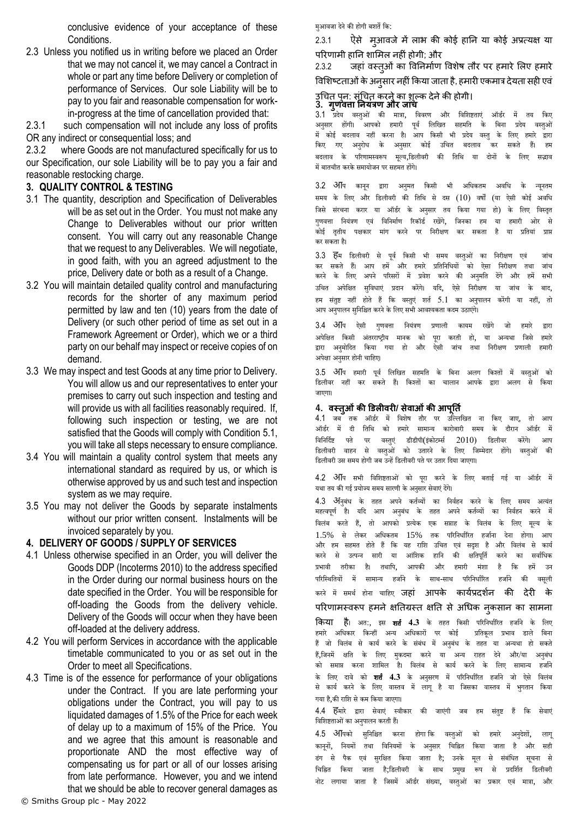conclusive evidence of your acceptance of these Conditions.

2.3 Unless you notified us in writing before we placed an Order that we may not cancel it, we may cancel a Contract in whole or part any time before Delivery or completion of performance of Services. Our sole Liability will be to pay to you fair and reasonable compensation for workin-progress at the time of cancellation provided that:

2.3.1 such compensation will not include any loss of profits OR any indirect or consequential loss; and

2.3.2 where Goods are not manufactured specifically for us to our Specification, our sole Liability will be to pay you a fair and reasonable restocking charge.

#### **3. QUALITY CONTROL & TESTING**

- 3.1 The quantity, description and Specification of Deliverables will be as set out in the Order. You must not make any Change to Deliverables without our prior written consent. You will carry out any reasonable Change that we request to any Deliverables. We will negotiate, in good faith, with you an agreed adjustment to the price, Delivery date or both as a result of a Change.
- 3.2 You will maintain detailed quality control and manufacturing records for the shorter of any maximum period permitted by law and ten (10) years from the date of Delivery (or such other period of time as set out in a Framework Agreement or Order), which we or a third party on our behalf may inspect or receive copies of on demand.
- 3.3 We may inspect and test Goods at any time prior to Delivery. You will allow us and our representatives to enter your premises to carry out such inspection and testing and will provide us with all facilities reasonably required. If, following such inspection or testing, we are not satisfied that the Goods will comply with Condition [5.1,](#page-3-0) you will take all steps necessary to ensure compliance.
- 3.4 You will maintain a quality control system that meets any international standard as required by us, or which is otherwise approved by us and such test and inspection system as we may require.
- 3.5 You may not deliver the Goods by separate instalments without our prior written consent. Instalments will be invoiced separately by you.

#### <span id="page-2-0"></span>**4. DELIVERY OF GOODS / SUPPLY OF SERVICES**

- 4.1 Unless otherwise specified in an Order, you will deliver the Goods DDP (Incoterms 2010) to the address specified in the Order during our normal business hours on the date specified in the Order. You will be responsible for off-loading the Goods from the delivery vehicle. Delivery of the Goods will occur when they have been off-loaded at the delivery address.
- 4.2 You will perform Services in accordance with the applicable timetable communicated to you or as set out in the Order to meet all Specifications.
- <span id="page-2-1"></span>4.3 Time is of the essence for performance of your obligations under the Contract. If you are late performing your obligations under the Contract, you will pay to us liquidated damages of 1.5% of the Price for each week of delay up to a maximum of 15% of the Price. You and we agree that this amount is reasonable and proportionate AND the most effective way of compensating us for part or all of our losses arising from late performance. However, you and we intend that we should be able to recover general damages as

मुआवजा देने की होगी बशर्ते कि:

2.3.1 ऐसे मुआवजे में लाभ की कोई हानि या कोई अप्रत्यक्ष या पररणामी हानन शालमि नहीं होगी; और

2.3.2 जहां वस्तुओं का विनिर्माण विशेष तौर पर हमारे लिए हमारे

विशिष्टताओं के अनसार नहीं किया जाता है, हमारी एकमात्र देयता सही एवं

# उग्रचत पुन: संग्रचत करनेका शुलक देनेकी होगी। **3. गुणवत्ता ननयंत्रण औि जांच**

3.1 प्रदेय वस्तुओं की मात्रा, विवरण और विशिष्टताएं ऑर्डर में तय किए अनसार होंगी। आपको हमारी पर्व लिखित सहमति के बिना प्रदेय वस्तओं .<br>में कोई बदलाव नहीं करना है। आप किसी भी प्रदेय वस्तु के लिए हमारे द्वारा किए गए अनुरोध के अनुसार कोई उचित बदलाव कर सकते हैं। हम बदलाव के परिणामस्वरूप मूल्य,डिलीवरी की तिथि या दोनों के लिए सद्भाव मेंबार्तचीर्त करके समायोजि पर सहमर्त होंगे।

3.2 अीप कानून द्वारा अनुमत किसी भी अधिकतम अवधि के न्यूनतम समय के लिए और डिलीवरी की तिथि से दस (10) वर्षों (या ऐसी कोई अवधि जिसे संरचना करार या ऑर्डर के अनसार तय किया गया हो) के लिए विस्तत गणवत्ता नियंत्रण एवं विनिर्माण रिकॉर्ड रखेंगे, जिनका हम या हमारी ओर से कोई ततीय पक्षकार मांग करने पर निरीक्षण कर सकता है या प्रतियां प्राप्त कर सकर्ता है।

3.3 हिम डिलीवरी से पूर्व किसी भी समय वस्तुओं का निरीक्षण एवं जांच<br>कर सकते हैं। आप हमें और हमारे प्रतिनिधियों को ऐसा निरीक्षण तथा जांच कर सकर्ते हैं। आप हमें और हमारे प्रनर्तनिनियों को ऐसा निरीक्षण र्तर्ा जांच करने के लिए अपने परिसरों में प्रवेश करने की अनुमति देंगे और हमें सभी उचित अपेक्षित सुविधाएं प्रदान करेंगे। यदि, ऐसे निरीक्षण या जांच के बाद, हम संतुष्ट नहीं होते हैं कि वस्तुएं शर्त 5.1 का अनुपालन करेंगी या नहीं, तो आप अनुपालन सुनिश्चित करने के लिए सभी आवश्यकता कदम उठाएंगे।

3.4 अीप ऐसी गुणवत्ता नियंत्रण प्रणाली कायम रखेंगे जो हमारे द्वारा अपेक्षित किसी अंतरराष्ट्रीय मानक को पूरा करती हो, या अन्यथा जिसे हमारे<br>द्वारा अनुमोदित किया गया हो और ऐसी जांच तथा निरीक्षण प्रणाली हमारी द्वारा अनमोदित किया गया हो और ऐसी जांच तथा निरीक्षण प्रणाली हमारी अपेक्षा अनसार होनी चाहिए।

.<br>3.5 अग्वि हमारी पर्व लिखित सहमति के बिना अलग किश्तों में वस्तओं को डिलीवर नहीं कर सकते हैं। किश्तों का चालान आपके द्वारा अलग से किया जाएगा।

#### **4. वस्र्तुओंकी डिलीविी/ सेवाओंकी आपूनर्तत**

4.1 जब तक ऑर्डर में विशेष तौर पर उल्लिखित ना किए जाए, तो आप ऑर्डर में दी तिथि को हमारे सामान्य कारोबारी समय के दौरान ऑर्डर में विनिर्दिष्ट पते पर वस्तुएं डीडीपी(इंकोटर्म्स 2010) डिलीवर करेंगे। आप डिलीवरी वाहन से वस्तुओं को उतारने के लिए जिम्मेदार होंगे। वस्तुओं की डिलीवरी उस समय होगी जब उन्हें डिलीवरी पते पर उतार दिया जाएगा।

4.2 आप सर्ी निनशष्टर्ताओं को पूरा करिे के निए बर्ताई गई या ऑडथर में यथा तय की गई प्रयोज्य समय सारणी के अनुसार सेवाएं देंगे।

4.3 अनिबंध के तहत अपने कर्तव्यों का निर्वहन करने के लिए समय अत्यंत महत्वपूर्ण है। यदि आप अनुबंध के तहत अपने कर्तव्यों का निर्वहन करने में नििंब करर्ते हैं, र्तो आपको प्रत्येक एक सप्ताह के नििंब के निए मूल्य के 1.5% से लेकर अधिकतम 15% तक परिनिर्धारित हर्जाना देना होगा। आप<br>और हम सहमत होते हैं कि यह राशि उचित एवं सदश है और विलंब से कार्य और हम सहमत होते हैं कि यह राशि उचित एवं सदृश है और विलंब से कार्य<br>करने से उत्पन्न सारी या आंशिक हानि की क्षतिपूर्ति करने का सर्वाधिक करने से उत्पन्न सारी या आंशिक हानि की क्षतिपूर्ति करने का सर्वाधिक प्रभावी तरीका है। तथापि, आपकी और हमारी मंशा है कि हमें उन परिस्थितियों में सामान्य हर्जाने के साथ-साथ परिनिर्धारित हर्जाने की वसूली करने में समर्थ होना चाहिए **जहां आपके कार्यप्रदर्शन की देरी के** 

परिणामस्वरूप हमने क्षतिग्रस्त क्षति से अधिक नुकसान का सामना

**किया है**। अत:, इस **शर्त 4.3** के तहत किसी परिनिर्धारित हजनि के लिए<br>हमारे अधिकार किन्हीं अन्य अधिकारों पर कोई प्रतिकूल प्रभाव डाले बिना हमारे अधिकार किन्हीं अन्य अधिकारों पर कोई प्रतिकल प्रभाव डाले बिना हैं जो विलंब से कार्य करने के संबंध में अनुबंध के तहत या अन्यथा हो सकते हैं,जिनमें क्षति के लिए मुकदमा करने या अन्य राहत देने और/या अनुबंध को समाप्त करना शामिल है। विलंब से कार्य करने के लिए सामान्य हजनि के लिए दावे को **शर्त 4.3** के अनसरण में परिनिर्धारित हर्जाने जो ऐसे विलंब से कार्य करने के लिए वास्तव में लागू है या जिसका वास्तव में भुगतान किया गया है,की रानश सेकम नकया जाएगा।

4.4 हिमारे द्रारा सेवाएं स्वीकार की जाएंगी जब हम संतष्ट हैं कि सेवाएं विशिष्टताओं का अनुपालन करती हैं।

4.5 अपिको सुनिश्चित करना होगा कि वस्तुओं को हमारे अनुदेशों, लागू काननों, नियमों तथा विनियमों के अनुसार चिह्नित किया जाता है और सही ढंग से पैक एिं सुरनक्षर्त नकया जार्ता है; उिके मूि से संबंनिर्त सचूिा से चिह्नित किया जाता है;डिलीवरी के साथ प्रमुख रूप से प्रदर्शित डिलीवरी नोट लगाया जाता है जिसमें ऑर्डर संख्या, वस्तुओं का प्रकार एवं मात्रा, और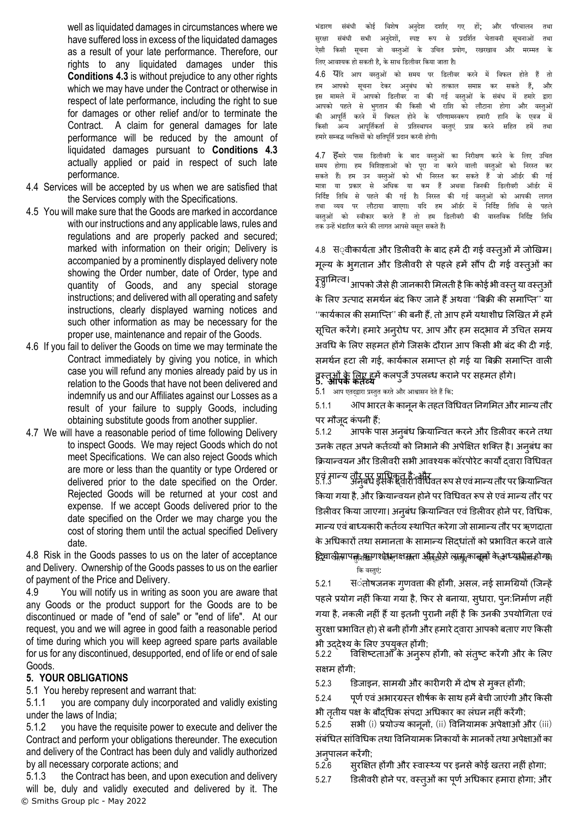well as liquidated damages in circumstances where we have suffered loss in excess of the liquidated damages as a result of your late performance. Therefore, our rights to any liquidated damages under this **Conditions [4.3](#page-2-1)** is without prejudice to any other rights which we may have under the Contract or otherwise in respect of late performance, including the right to sue for damages or other relief and/or to terminate the Contract. A claim for general damages for late performance will be reduced by the amount of liquidated damages pursuant to **Conditions [4.3](#page-2-1)** actually applied or paid in respect of such late performance.

- 4.4 Services will be accepted by us when we are satisfied that the Services comply with the Specifications.
- 4.5 You will make sure that the Goods are marked in accordance with our instructions and any applicable laws, rules and regulations and are properly packed and secured; marked with information on their origin; Delivery is accompanied by a prominently displayed delivery note showing the Order number, date of Order, type and quantity of Goods, and any special storage instructions; and delivered with all operating and safety instructions, clearly displayed warning notices and such other information as may be necessary for the proper use, maintenance and repair of the Goods.
- 4.6 If you fail to deliver the Goods on time we may terminate the Contract immediately by giving you notice, in which case you will refund any monies already paid by us in relation to the Goods that have not been delivered and indemnify us and our Affiliates against our Losses as a result of your failure to supply Goods, including obtaining substitute goods from another supplier.
- 4.7 We will have a reasonable period of time following Delivery to inspect Goods. We may reject Goods which do not meet Specifications. We can also reject Goods which are more or less than the quantity or type Ordered or delivered prior to the date specified on the Order. Rejected Goods will be returned at your cost and expense. If we accept Goods delivered prior to the date specified on the Order we may charge you the cost of storing them until the actual specified Delivery date.

4.8 Risk in the Goods passes to us on the later of acceptance and Delivery. Ownership of the Goods passes to us on the earlier of payment of the Price and Delivery.

4.9 You will notify us in writing as soon you are aware that any Goods or the product support for the Goods are to be discontinued or made of "end of sale" or "end of life". At our request, you and we will agree in good faith a reasonable period of time during which you will keep agreed spare parts available for us for any discontinued, desupported, end of life or end of sale Goods.

## **5. YOUR OBLIGATIONS**

<span id="page-3-0"></span>5.1 You hereby represent and warrant that:

5.1.1 you are company duly incorporated and validly existing under the laws of India;

5.1.2 you have the requisite power to execute and deliver the Contract and perform your obligations thereunder. The execution and delivery of the Contract has been duly and validly authorized by all necessary corporate actions; and

© Smiths Group plc - May 2022 5.1.3 the Contract has been, and upon execution and delivery will be, duly and validly executed and delivered by it. The

भंडारण संबंधी कोई विशेष अनुदेश दर्शाए गए हों; और परिचालन तथा सुरक्षा संबंधी सभी अनुदेशों, स्पष्ट रूप से प्रदर्शित चेतावनी सूचनाओं तथा ऐसी किसी सूचना जो वस्तुओं के उचित प्रयोग, रखरखाव और मरम्मत के लिए आवश्यक हो सकती है, के साथ डिलीवर किया जाता है।

4.6 येदि आप वस्तुओं को समय पर डिलीवर करने में विफल होते हैं तो हम आपको सूचना देकर अनुबंध को तत्काल समाप्त कर सकते हैं, और इस मामले में आपको डिलीवर ना की गई वस्तुओं के संबंध में हमारे द्वारा आपको पहले से भुगतान की किसी भी राशि को लौटाना होगा और वस्तुओं की आपूर्ति करने में विफल होने के परिणामस्वरूप हमारी हानि के एवज में किसी अन्य आपूर्तिकर्ता से प्रतिस्थापन वस्तुएं प्राप्त करने सहित हमें तथा हमारे सम्बद्ध व्यक्तियों को क्षतिपर्ति प्रदान करनी होगी।

4.7 **हि**मारे पास डिलीवरी के बाद वस्तुओं का निरीक्षण करने के लिए उचित समय होगा। हम विशिष्टताओं को पूरा ना करने वाली वस्तुओं को निरस्त कर सकते हैं। हम उन वस्तुओं को भी निरस्त कर सकते हैं जो ऑर्डर की गई<br>मात्रा या प्रकार से अधिक या कम हैं अथवा जिनकी डिलीवरी ऑर्डर में मात्रा या प्रकार से अधिक या कम हैं अथवा जिनकी डिलीवरी ऑर्डर में निर्दिष्ट तिथि से पहले की गई है। निरस्त की गई वस्तुओं को आपकी लागत तथा व्यय पर लौटाया जाएगा। यदि हम ऑर्डर में निर्दिष्ट तिथि से पहले वस्तुओं को स्वीकार करते हैं तो हम डिलीवरी की वास्तविक निर्दिष्ट तिथि तक उन्हें भंडारित करने की लागत आपसे वसूल सकते हैं।

4.8 स््वीकार्यता और डिलीवरी के बाद हमें दी गई वस्त्ओं में जोखिम। मूल्य के भूगतान और डिलीवरी से पहले हमें सौंप दी गई वस्त्ओं का

म्वामित्व।<br>4.9 मित्वा आपको जैसे ही जानकारी मिलती है कि कोई भी वस्तु या वस्तुओं के लिए उत्पाद समर्थन बंद किए जाने हैं अथवा ''बिक्री की समाप्ति'' या ''कार्यकाल की समाप्ति'' की बनी हैं, तो आप हमें यथाशीघ्र लिखित में हमें सूचित करेंगे। हमारे अनुरोध पर, आप और हम सद्भाव में उचित समय अवधि के लिए सहमत होंगे जिसके दौरान आप किसी भी बंद की दी गई, समर्थन हटा ली गई, कार्यकाल समाप्त हो गई या बिक्री समाप्ति वाली वस्तुओंके लिए हमेंकिपुजेंउपिब्ध करानेपर सहमत होंगे। **5. आपके कर्ततव्य**

 $5.1$  आप एतद्द्वारा प्रस्तुत करते और आश्वासन देते हैं कि:

5.1.1 आप भारत केकानून केतहत ववग्रधवत ननगलमत और मान्य तौर पर मौजूद कंपनी हैं;

5.1.2 आपके पास अनुबंध क्रियाक्न्वत करनेऔर डििीवर करनेतथा उनके तहत अपने कर्तव्यों को निभाने की अपेक्षित शक्ति है। अनुबंध का क्रियान्वयन और डिलीवरी सभी आवश्यक कॉरपोरेट कार्यों द्वारा विधिवत

एवं मान्य तौर पर प्राधिकत है; और<br>5.1.3 अनुबंध इसके दवारा विधिवत रूप से एवं मान्य तौर पर क्रियान्वित किया गया है, और क्रियान्वयन होने पर विधिवत रूप से एवं मान्य तौर पर डिलीवर किया जाएगा। अनुबंध क्रियान्वित एवं डिलीवर होने पर, विधिक, मान्य एवंबाध्यकारी कताव्य स्थावपत करेगा जो सामान्य तौर पर ऋणदाता के अधिकारों तथा समानता के सामान्य सिद्धांतों को प्रभावित करने वाले <u>द्गिया</u> सीसापल<sub>ने कि</sub>माश्मेशन क्षमता और सेसे लासून नानूलों के अध्यश्लीत होगा;

नक िस्र्तुएं:

5.2.1 स**ंतोषजनक ग्**णवत्ता की होंगी, असल, नई सामग्रियों (जिन्हें पहले प्रयोग नहीं किया गया है, फिर से बनाया, सुधारा, पुन:निर्माण नहीं गया है, नकली नहीं हैं या इतनी पुरानी नहीं है कि उनकी उपयोगिता एवं सुरक्षा प्रभावित हो) से बनी होंगी और हमारे दवारा आपको बताए गए किसी

भी उद्देश्य के लिए उपयुक्त होंगी;<br>5.2.2 विशिष्टताओं के अनरूप विशिष्टताओं के अनुरूप होंगी, को संतुष्ट करेंगी और के लिए सक्षम होंगी;

5.2.3 डिजाइन, सामिी और कारीगरी मेंदोष सेमुतत होंगी;

5.2.4 पूर्ण एवं अभारग्रस्त शीर्षक के साथ हमें बेची जाएंगी और किसी भी ततीय पक्ष के बौदधिक संपदा अधिकार का लंघन नहीं करेंगी;

5.2.5 सभी (i) प्रयोज्य कानूनों, (ii) ववननयामक अपेक्षाओंऔर (iii) संबंधित सांविधिक तथा विनियामक निकायों के मानकों तथा अपेक्षाओं का अनुपालन करे<mark>ंगी</mark>;<br>5.2.6 सरक्षि

सुरक्षित होंगी और स्वास्थ्य पर इनसे कोई खतरा नहीं होगा;

5.2.7 डििीवरी होनेपर, वस्तुओंका पूणाअग्रधकार हमारा होगा; और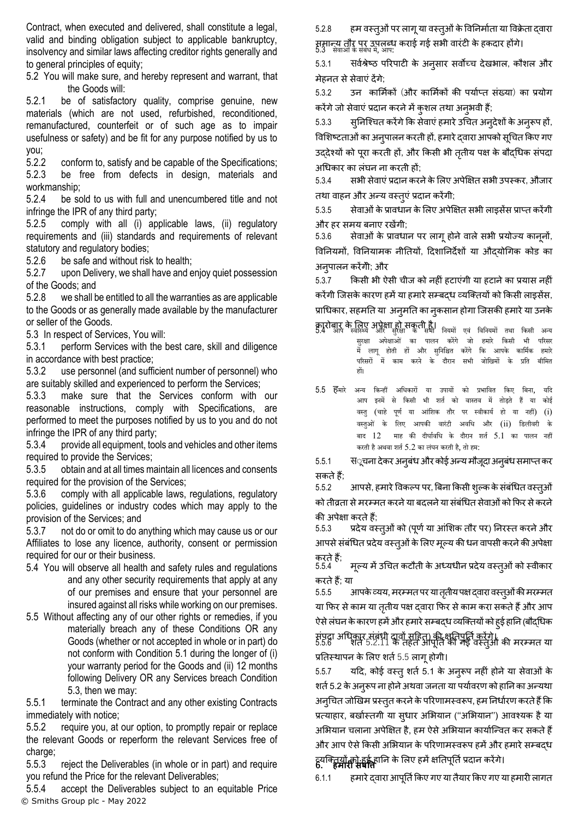Contract, when executed and delivered, shall constitute a legal, valid and binding obligation subject to applicable bankruptcy, insolvency and similar laws affecting creditor rights generally and to general principles of equity;

5.2 You will make sure, and hereby represent and warrant, that the Goods will:

5.2.1 be of satisfactory quality, comprise genuine, new materials (which are not used, refurbished, reconditioned, remanufactured, counterfeit or of such age as to impair usefulness or safety) and be fit for any purpose notified by us to you;

5.2.2 conform to, satisfy and be capable of the Specifications; 5.2.3 be free from defects in design, materials and workmanship;

5.2.4 be sold to us with full and unencumbered title and not infringe the IPR of any third party;

5.2.5 comply with all (i) applicable laws, (ii) regulatory requirements and (iii) standards and requirements of relevant statutory and regulatory bodies;

5.2.6 be safe and without risk to health;<br>5.2.7 upon Delivery, we shall have and e

5.2.7 upon Delivery, we shall have and enjoy quiet possession of the Goods; and

5.2.8 we shall be entitled to all the warranties as are applicable to the Goods or as generally made available by the manufacturer or seller of the Goods.

<span id="page-4-0"></span>5.3 In respect of Services, You will:

5.3.1 perform Services with the best care, skill and diligence in accordance with best practice;

5.3.2 use personnel (and sufficient number of personnel) who are suitably skilled and experienced to perform the Services;

5.3.3 make sure that the Services conform with our reasonable instructions, comply with Specifications, are performed to meet the purposes notified by us to you and do not infringe the IPR of any third party;

5.3.4 provide all equipment, tools and vehicles and other items required to provide the Services;

5.3.5 obtain and at all times maintain all licences and consents required for the provision of the Services;

5.3.6 comply with all applicable laws, regulations, regulatory policies, guidelines or industry codes which may apply to the provision of the Services; and

5.3.7 not do or omit to do anything which may cause us or our Affiliates to lose any licence, authority, consent or permission required for our or their business.

- 5.4 You will observe all health and safety rules and regulations and any other security requirements that apply at any of our premises and ensure that your personnel are insured against all risks while working on our premises.
- <span id="page-4-1"></span>5.5 Without affecting any of our other rights or remedies, if you materially breach any of these Conditions OR any Goods (whether or not accepted in whole or in part) do not conform with Condition [5.1](#page-3-0) during the longer of (i) your warranty period for the Goods and (ii) 12 months following Delivery OR any Services breach Condition [5.3,](#page-4-0) then we may:

5.5.1 terminate the Contract and any other existing Contracts immediately with notice;

<span id="page-4-2"></span>5.5.2 require you, at our option, to promptly repair or replace the relevant Goods or reperform the relevant Services free of charge;

5.5.3 reject the Deliverables (in whole or in part) and require you refund the Price for the relevant Deliverables;

© Smiths Group plc - May 2022 5.5.4 accept the Deliverables subject to an equitable Price

5.2.8 हम वस्तुओं पर लागू या वस्तूओं के विनिर्माता या विक्रेता द्वारा समान्य तौर पर उपलब्ध कराई गई सभी वारंटी के हकदार होंगे।<br>5.3 सेवाओं के संबंध में, आप:

5.3.1 सिर्वश्रेष्ठ परिपाटी के अनुसार सर्वोच्च देखभाल, कौशल और मेहनत सेसेवाएं देंगे;

5.3.2 उन कालमाकों (और कालमाकों की पयााप्त संख्या) का प्रयोग करेंगे जो सेवाएं प्रदान करने में कुशल तथा अनुभवी हैं;

5.3.3 सृनिश्चित करेंगे कि सेवाएं हमारे उचित अनुदेशों के अनुरूप हों, विशिष्टताओं का अनुपालन करती हों, हमारे द्वारा आपको सूचित किए गए उद्देश्यों को पूरा करती हों, और किसी भी त़तीय पक्ष के बौदधिक संपदा अग्रधकार का िंघन ना करती हों;

5.3.4 सभी सेवाएंप्रदान करनेकेलिए अपेक्षक्षत सभी उपस्कर, औजार तथा वाहन और अन्य वस्तुएंप्रदान करेंगी;

5.3.5 सेवाओंकेप्रावधान केलिए अपेक्षक्षत सभी िाइसेंस प्राप्त करेंगी और हर समय बनाए रखेंगी;

5.3.6 सेवाओं के प्रावधान पर लागू होने वाले सभी प्रयोज्य कानूनों, विनियमों, विनियामक नीतियों, दिशानिर्देशों या औदयोगिक कोड का अनुपालन करेंगेी; और

5.3.7 क्रकसी भी ऐसी चीज को नहीं हटाएंगी या हटानेका प्रयास नहीं करेंगी जिसके कारण हमें या हमारे सम्बद्ध व्यक्तियों को किसी लाइसेंस, प्राग्रधकार, सहमनत या अनुमनत का नुकसान होगा क्जसकी हमारेया उनके

कारोबार के लिए अपेक्षा हो सकती है।<br>5.4 आप स्वास्थ्य और सुरक्षा के सभी नियमों एवं विनियमों तथा किसी सरक्षा अपेक्षाओं का पालन करेंगे जो हमारे किसी भी परिसर में िागू होर्ती हों और सुनिनिर्त करेंगे नक आपके कानमथक हमारे परिसरों में काम करने के दौरान सभी जोखिमों के प्रति बीमित हों।

5.5 हिमारे अन्य किन्हीं अधिकारों या उपायों को प्रभावित किए बिना, आप इनमें से किसी भी शर्त को वास्तव में तोड़ते हैं या कोई वस्तु (चाहे पूर्ण या आंशिक तौर पर स्वीकार्य हो या नहीं) (i) वस्तुओं के लिए आपकी वारंटी अवधि और (ii) डिलीवरी के बाद  $12$  माह की दीर्घावधि के दौरान शर्त  $5.1$  का पालन नहीं करती है अथवा शर्त 5.2 का लंघन करती है, तो हम:

5.5.1 स**ूचना देकर अनुबंध और कोई अन्य मौजूदा** अनुबंध समाप्त कर सकतेहैं;

5.5.2 आपसे, हमारे विकल्प पर, बिना किसी शुल्क के संबंधित वस्तुओं को तीव्रता से मरम्मत करने या बदलने या संबंधित सेवाओं को फिर से करने की अपेक्षा करतेहैं;

5.5.3 प्रदेय वस्तुओंको (पूणाया आंलशक तौर पर) ननरस्त करनेऔर आपसे संबंधित प्रदेय वस्तुओं के लिए मूल्य की धन वापसी करने की अपेक्षा

करते हैं<br>5.5.4 मूल्य में उचित कटौती के अध्यधीन प्रदेय वस्तुओं को स्वीकार करतेहैं; या

5.5.5 आपके व्यय, मरम्मत पर या तृतीय पक्ष दवारा वस्तूओं की मरम्मत या फिर से काम या ततीय पक्ष दवारा फिर से काम करा सकते हैं और आप ऐसे लंघन के कारण हमें और हमारे सम्बद्ध व्यक्तियों को हुई हानि (बौद्धिक

संपदा अधिकार संबंधी दावों सहित) की क्षतिपूर्ति करेंगे।<br>5.5.6 शति 5.2.11 के तहत आपूर्ति की गई वस्तुओं की मरम्मत या प्रतिस्थापन के लिए शर्त [5.5](#page-4-1) लागू होगी।

5.5.7 यहद, कोई वस्तुशता 5.1 के अनुरूप नहीं होनेया सेवाओं के शर्त 5.2 के अनुरूप ना होने अथवा जनता या पर्यावरण को हानि का अन्यथा अन्चित जोखिम प्रस्तुत करने के परिणामस्वरूप, हम निर्धारण करते हैं कि प्रत्याहार, बर्खास्तगी या सुधार अभियान ("अभियान") आवश्यक है या अभियान चलाना अपेक्षित है, हम ऐसे अभियान कार्यान्वित कर सकते हैं और आप ऐसे किसी अभियान के परिणामस्वरूप हमें और हमारे सम्बदध व्यक्ततयों को हुई हानन के लिए हमेंक्षनतपूनताप्रदान करेंगे। **6. हमािी संपवत्त**

6.1.1 हमारे दवारा आपूर्ति किए गए या तैयार किए गए या हमारी लागत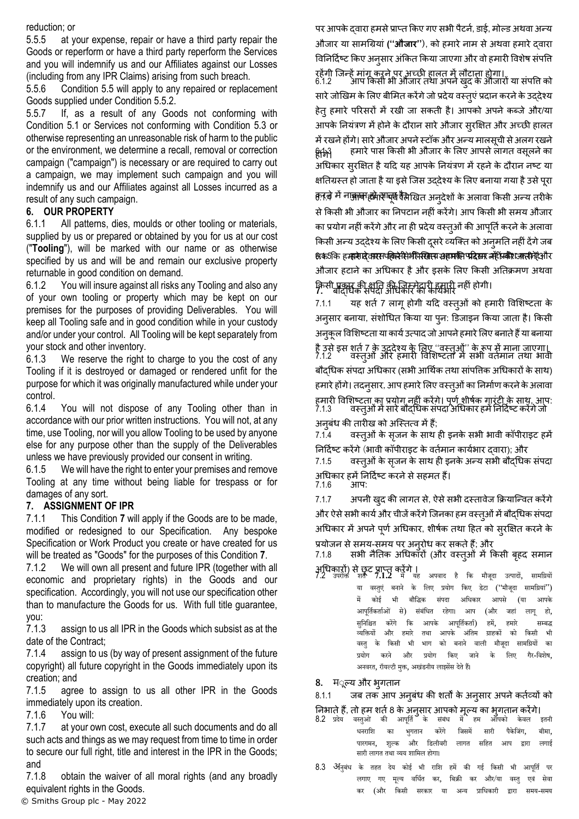reduction; or

5.5.5 at your expense, repair or have a third party repair the Goods or reperform or have a third party reperform the Services and you will indemnify us and our Affiliates against our Losses (including from any IPR Claims) arising from such breach.

5.5.6 Condition [5.5](#page-4-1) will apply to any repaired or replacement Goods supplied under Condition [5.5.2.](#page-4-2)

5.5.7 If, as a result of any Goods not conforming with Condition [5.1](#page-3-0) or Services not conforming with Condition [5.3](#page-4-0) or otherwise representing an unreasonable risk of harm to the public or the environment, we determine a recall, removal or correction campaign ("campaign") is necessary or are required to carry out a campaign, we may implement such campaign and you will indemnify us and our Affiliates against all Losses incurred as a result of any such campaign.

### **6. OUR PROPERTY**

6.1.1 All patterns, dies, moulds or other tooling or materials, supplied by us or prepared or obtained by you for us at our cost ("**Tooling**"), will be marked with our name or as otherwise specified by us and will be and remain our exclusive property returnable in good condition on demand.

6.1.2 You will insure against all risks any Tooling and also any of your own tooling or property which may be kept on our premises for the purposes of providing Deliverables. You will keep all Tooling safe and in good condition while in your custody and/or under your control. All Tooling will be kept separately from your stock and other inventory.

6.1.3 We reserve the right to charge to you the cost of any Tooling if it is destroyed or damaged or rendered unfit for the purpose for which it was originally manufactured while under your control.

6.1.4 You will not dispose of any Tooling other than in accordance with our prior written instructions. You will not, at any time, use Tooling, nor will you allow Tooling to be used by anyone else for any purpose other than the supply of the Deliverables unless we have previously provided our consent in writing.

6.1.5 We will have the right to enter your premises and remove Tooling at any time without being liable for trespass or for damages of any sort.

#### <span id="page-5-0"></span>**7. ASSIGNMENT OF IPR**

7.1.1 This Condition **[7](#page-5-0)** will apply if the Goods are to be made, modified or redesigned to our Specification. Any bespoke Specification or Work Product you create or have created for us will be treated as "Goods" for the purposes of this Condition **[7](#page-5-0)**.

<span id="page-5-1"></span>7.1.2 We will own all present and future IPR (together with all economic and proprietary rights) in the Goods and our specification. Accordingly, you will not use our specification other than to manufacture the Goods for us. With full title guarantee, you:

7.1.3 assign to us all IPR in the Goods which subsist as at the date of the Contract;

7.1.4 assign to us (by way of present assignment of the future copyright) all future copyright in the Goods immediately upon its creation; and

7.1.5 agree to assign to us all other IPR in the Goods immediately upon its creation.

7.1.6 You will:

7.1.7 at your own cost, execute all such documents and do all such acts and things as we may request from time to time in order to secure our full right, title and interest in the IPR in the Goods; and

7.1.8 obtain the waiver of all moral rights (and any broadly equivalent rights in the Goods.

पर आपके दवारा हमसे प्राप्त किए गए सभी पैटर्न, डाई, मोल्ड अथवा अन्य औजार या सामग्रियां **(''औजाि'')**, को हमारेनाम सेअथवा हमारेद्वारा विनिर्दिष्ट किए अनुसार अंकित किया जाएगा और वो हमारी विशेष संपत्ति

रहेगी जिन्हें मांग करने पर अच्छी हालत में लौटाना होगा।<br>6.1.2 आप किसी भी औजार तथा अपने खुद के ओजारों या संपत्ति को सारे जोखिम के लिए बीमित करेंगे जो प्रदेय वस्तुएं प्रदान करने के उद्देश्य हेतुहमारे पररसरों में रखी जा सकती है। आपको अपनेकब्जेऔर/या आपके नियंत्रण में होने के दौरान सारे औजार सुरक्षित और अच्छी हालत में रखने होंगे। सारे औजार अपने स्टॉक और अन्य मालसूची से अलग रखने <u>क्षिक्</u>षि हमारे पास किसी भी औजार के लिए आपसे लागत वसूलने का अधिकार सरक्षित है यदि यह आपके नियंत्रण में रहने के दौरान नष्ट या क्षतिग्रस्त हो जाता है या इसे जिस उददेश्य के लिए बनाया गया है उसे पूरा हल र में ना<del>क्कावा हक्रे लेगावर्ष</del> दैसेखित अनुदेशों के अलावा किसी अन्य तरीके सेक्रकसी भी औजार का ननपटान नहींकरेंगे। आप क्रकसी भी समय औजार का प्रयोग नहीं करेंगे और ना ही प्रदेय वस्तुओं की आपूर्ति करने के अलावा किसी अन्य उददेश्य के लिए किसी दुसरे व्यक्ति को अनुमति नहीं देंगे जब ही क5कि हम्मसे दिवारस पतिले सिभेमिसिसम् समय की पदिसर ब्रहें प्रकार किया जाती है। औजार हटाने का अधिकार है और इसके लिए किसी अतिक्रमण अथवा किसी प्रकार की क्षति की जिम्मेदारी हमारी नहीं होगी।<br>7

7.1.1 यह शर्त 7 लागू होगी यदि वस्तुओं को हमारी विशिष्टता के अनुसार बनाया, संशोधित किया या पून: डिजाइन किया जाता है। किसी अनुकूल विशिष्टता या कार्य उत्पाद जो आपने हमारे लिए बनाते हैं या बनाया <u>है उसे इस शते 7 के उददेश्य के लिए ''वस्तुओं'' के रूप में माना जाएगा।</u> 7.1.2 ं वस्तुओं और हमारी विशिष्टता में सभी वर्तमान तथा भावी बौदधिक संपदा अधिकार (सभी आर्थिक तथा सांपत्तिक अधिकारों के साथ) हमारे होंगे। तदन्सार, आप हमारे लिए वस्तुओं का निर्माण करने के अलावा हमारी विशिष्टता का प्रयोग नहीं करेंगे। पूर्ण शीर्षक गारंटी के साथ, आप: 7.1.3 व्यस्तुओं में सारे बौद्धिक संपदा अधिकार हमें निर्दिष्ट करेंगे जो

अनुबंध की तारीख को अस्तित्व में हैं;<br>7.1.4 वस्तओं के सजन के साथ वस्तुओं के सृजन के साथ ही इनके सभी भावी कॉपीराइट हमें निर्दिष्ट करेंगे (भावी कॉपीराइट के वर्तमान कार्यभार दवारा); और

7.1.5 व्हिन् अत्रैं के सजन के साथ ही इनके अन्य सभी बौदधिक संपदा अधिकार हमें निर्दिष्ट करने से सहमत हैं।<br>7.1.6 आप:

 $7.1.6$ 

7.1.7 अपनी खुद की िागत से, ऐसेसभी दस्तावेज क्रियाक्न्वत करेंगे और ऐसे सभी कार्य और चीजें करेंगे जिनका हम वस्तूओं में बौद्धिक संपदा अधिकार में अपने पूर्ण अधिकार, शीर्षक तथा हित को सुरक्षित करने के

प्रयोजन से समय-समय पर अनुरोध कर सकते हैं; और<br>7.1.8 सभी नैतिक अधिकारों (और वस्तओं में गि सभी नैतिक अधिकाँरों (और वस्त्ओं में किसी बहद समान

अधिकारों) से छूट प्राप्त करेंगे ।<br>72 उपमेक्त शर्त 7.1.2 में यह 7.2 उपरोि शर्तथ **7.1.2** में यह अपिाद है नक मौजूदा उत्पादों, सामनग्रयों या वस्तुएं बनाने के लिए प्रयोग किए डेटा ("मौजूदा सामग्रियां") में कोई र्ी बौनद्धक संपदा अनिकार आपसे (या आपके आपूनर्तथकर्ताथओं से) संबंनिर्त रहेगा। आप (और जहां िागू हो, सुनिश्चित करेंगे कि आपके आपूर्तिकर्ता) हमें, हमारे सम्बद्ध<br>व्यक्तियों और हमारे तथा आपके अंतिम ग्राहकों को किसी भी व्यक्तियों और हमारे तथा आपके अंतिम ग्राहकों को किसी भी<br>वस्त के किसी भी भाग को बनाने वाली मौजूदा सामग्रियों का े के किसी भी भाग को बनाने वाली मौजूदा सामग्रियों का प्रयोग करने और प्रयोग किए जाने के लिए गैर-विशेष, अनवरत, रॉयल्टी मक्त, अखंडनीय लाइसेंस देते हैं।

**8.** म्ूलय और भुगतान

# 8.1.1 जब तक आप अनूबंध की शर्तों के अनुसार अपने कर्तव्यों को

- निभाते हैं, तो हम शर्त 8 के अनुसार आपको मूल्य का भुगतान करेंगे।<br>8.2 प्रदेय वस्तुओं की आपूर्ति के संबंध में हम आपको केवल इतनी वस्तुओं की आपूर्ति धनराशि का भुगतान करेंगे जिसमें सारी पैकेजिंग, बीमा, पारगमन, शल्क और डिलीवरी लागत सहित आप द्वारा लगाई सारी लागत तथा व्यय शामिल होगा।
- 8.3 अनुबंध के तहत देय कोई भी राशि हमें की गई किसी भी आपूर्ति पर लगाए गए मूल्य वर्धित कर, बिक्री कर और/या वस्तु एवं सेवा कर (और नकसी सरकार या अन्य प्रानिकारी द्वारा समय-समय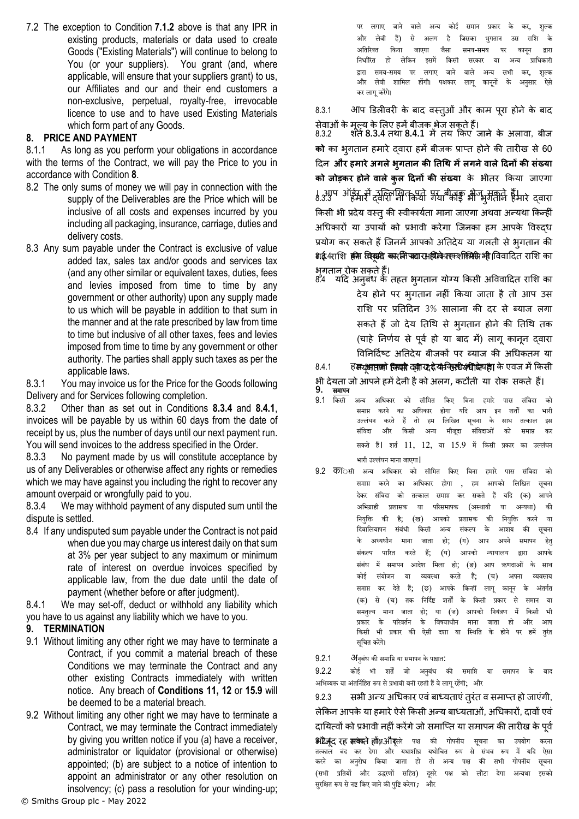7.2 The exception to Condition **[7.1.2](#page-5-1)** above is that any IPR in existing products, materials or data used to create Goods ("Existing Materials") will continue to belong to You (or your suppliers). You grant (and, where applicable, will ensure that your suppliers grant) to us, our Affiliates and our and their end customers a non-exclusive, perpetual, royalty-free, irrevocable licence to use and to have used Existing Materials which form part of any Goods.

# <span id="page-6-0"></span>**8. PRICE AND PAYMENT**

8.1.1 As long as you perform your obligations in accordance with the terms of the Contract, we will pay the Price to you in accordance with Condition **[8](#page-6-0)**.

- 8.2 The only sums of money we will pay in connection with the supply of the Deliverables are the Price which will be inclusive of all costs and expenses incurred by you including all packaging, insurance, carriage, duties and delivery costs.
- 8.3 Any sum payable under the Contract is exclusive of value added tax, sales tax and/or goods and services tax (and any other similar or equivalent taxes, duties, fees and levies imposed from time to time by any government or other authority) upon any supply made to us which will be payable in addition to that sum in the manner and at the rate prescribed by law from time to time but inclusive of all other taxes, fees and levies imposed from time to time by any government or other authority. The parties shall apply such taxes as per the applicable laws.

8.3.1 You may invoice us for the Price for the Goods following Delivery and for Services following completion.

8.3.2 Other than as set out in Conditions **[8.3.4](#page-6-1)** and **[8.4.1](#page-6-2)**, invoices will be payable by us within 60 days from the date of receipt by us, plus the number of days until our next payment run. You will send invoices to the address specified in the Order.

8.3.3 No payment made by us will constitute acceptance by us of any Deliverables or otherwise affect any rights or remedies which we may have against you including the right to recover any amount overpaid or wrongfully paid to you.

<span id="page-6-1"></span>8.3.4 We may withhold payment of any disputed sum until the dispute is settled.

8.4 If any undisputed sum payable under the Contract is not paid when due you may charge us interest daily on that sum at 3% per year subject to any maximum or minimum rate of interest on overdue invoices specified by applicable law, from the due date until the date of payment (whether before or after judgment).

<span id="page-6-2"></span>8.4.1 We may set-off, deduct or withhold any liability which you have to us against any liability which we have to you.

#### **9. TERMINATION**

- 9.1 Without limiting any other right we may have to terminate a Contract, if you commit a material breach of these Conditions we may terminate the Contract and any other existing Contracts immediately with written notice. Any breach of **Conditions 11, 12** or **[15.9](#page-10-0)** will be deemed to be a material breach.
- 9.2 Without limiting any other right we may have to terminate a Contract, we may terminate the Contract immediately by giving you written notice if you (a) have a receiver, administrator or liquidator (provisional or otherwise) appointed; (b) are subject to a notice of intention to appoint an administrator or any other resolution on insolvency; (c) pass a resolution for your winding-up;

पर लगाए जाने वाले अन्य कोई समान प्रकार के कर, शुल्<del>क</del> और लेवी हैं) से अलग है जिसका भुगतान उस राशि के अतिरिक्त किया जाएगा जैसा समय-समय पर कानून द्<mark>वा</mark>रा निर्धारित हो लेकिन इसमें किसी सरकार या अन्य प्राधिकारी द्वारा समय-समय पर लगाए जाने वाले अन्य सभी कर, शुल्<del>क</del> और लेवी शामिल होंगी। पक्षकार लाग काननों के अनसार ऐसे कर लागू करेंगे।

8.3.1 आप डििीवरी के बाद वस्तुओं और काम पूरा होने के बाद

सेवाओंके मूलय के लिए हमेंबीजक भेज सकतेहैं। 8.3.2 शता**[8.3.4](#page-6-1)** तथा **[8.4.1](#page-6-2)** मेंतयक्रकएजानेके अिावा, बीज **को** का भुगतान हमारे दवारा हमें बीजक प्राप्त होने की तारीख से 60 हदन **और हमारेअगलेभुगतान की ततथि मेंलगनेवालेदिनों की संख्या को जोड़कर होनेवालेकुल दिनों की संख्या** के भीतर क्रकया जाएगा । आप ऑईस में दविराष्ट्री कियो गया बीजक भेज, मंत्रीजे हैं। 8.3.3 हवारा किसी भी प्रदेय वस्तु की स्वीकार्यता माना जाएगा अथवा अन्यथा किन्हीं अधिकारों या उपायों को प्रभावी करेगा जिनका हम आपके विरुदध प्रयोग कर सकते हैं जिनमें आपको अतिदेय या गलती से भृगतान की **शई.**4राशि हमि क्लिक कर मिश्कार सहि के तरफ किसी भी विवादित राशि का भुगतान रोक सकतेहैं।

8.4 यदि अनुबंध के तहत भुगतान योग्य किसी अविवादित राशि का देय होने पर भुगतान नहीं क्रकया जाता है तो आप उस राशि पर प्रतिदिन 3% सालाना की दर से ब्याज लगा सकते हैं जो देय तिथि से भृगतान होने की तिथि तक (चाहे निर्णय से पूर्व हो या बाद में) लागू कानून दवारा विनिर्दिष्ट अतिदेय बीजकों पर ब्याज की अधिकतम या

# 8.4.1 हिम्पभाराको किसी दक्षा रद्द के किसी देवा देवा के एवज में किसी

भी देयता जो आपने हमें देनी है को अलग, कटौती या रोक सकते हैं।<br>9. समापन **9.** समापि

- 9.1 नकसी अन्य अनिकार को सीनमर्त नकए नबिा हमारे पास संनिदा को समाप्त करने का अधिकार होगा यदि आप इन शर्तों का उल्लंघन करते हैं तो हम लिखित सूचना के साथ तत्काल इस संनिदा और नकसी अन्य मौजूदा सनंिदाओं को समाप्त कर सकते हैं। शर्त 11, 12, या 15.9 में किसी प्रकार का उल्लंघन भारी उल्लंघन माना जाएगा।
- 9.2 कन्सी अन्य अनिकार को सीनमर्त नकए नबिा हमारे पास संनिदा को समाप्त करने का अधिकार होगा , हम आपको लिखित सूच<mark>ना</mark> देकर संविदा को तत्काल समाप्त कर सकते हैं यदि (क) आपने अनर्ग्राही प्रशासक या पररसमापक (अस्र्ायी या अन्यर्ा) की नियुनि की है; (ख) आपको प्रशासक की नियुनि करिे या दिवालियापन संबंधी किसी अन्य संकल्प के आशय की सूचना के अध्यधीन माना जाता हो; (ग) आप अपने समापन हेत<mark>ु</mark> संकल्प पारित करते हैं; (घ) आपको न्यायालय द्वारा आपके संबंध में समापन आदेश मिला हो; (ङ) आप ऋणदाओं के साथ कोई संयोजि या व्यिस्र्ा करर्ते हैं; (च) अपिा व्यिसाय समाप्त कर देते हैं; (छ) आपके किन्हीं लागू कानून के अंतर्गत (क) से (च) तक निर्दिष्ट शर्तों के किसी प्रकार से समान या समतुल्य माना जाता हो; या (ज) आपको नियंत्रण में किसी भी<br>प्रकार के परिवर्तन के विषयाधीन माना जाता हो और आप प्रकार के परिवर्तन के विषयाधीन माना जाता हो और आप किसी भी प्रकार की ऐसी दशा या स्थिति के होने पर हमें तुरंत सूनचर्त करेंगे।
- $9.2.1$  अनिबंध की समाप्ति या समापन के पश्चात:

9.2.2 कोई भी शर्तें जो अनबंध की समाप्ति या समापन के अभिव्यक्त या अंतर्निहित रूप से प्रभावी बनी रहती हैं वे लाग रहेंगी; और

9.2.3 सभी अन्य अग्रधकार एवंबाध्यताएंतुरंत व समाप्त हो जाएंगी, लेकिन आपके या हमारे ऐसे किसी अन्य बाध्यताओं, अधिकारों, दावों एवं दायित्वों को प्रभावी नहीं करेंगे जो समाप्ति या समापन की तारीख के पर्व

**भ्रीटेर्जूद रह <del>ग्रायेक्</del>ते ह्येंङ्गओर्**सरे पक्ष की गोपनीय सूचना का उपयोग करना<br>तत्काल बंद कर देगा और यथाशीघ्र यथोचित रूप से संभव रूप में यदि ऐसा तत्काल बंद कर देगा और यथाशीघ्र करने का अनुरोध किया जाता हो तो अन्य पक्ष की सभी गोपनीय सूचना (सभी प्रतियों और उद्धरणों सहित) दसरे पक्ष को लौटा देगा अन्यथा इसको सरक्षित रूप से नष्ट किए जाने की पष्टि करेगा ; और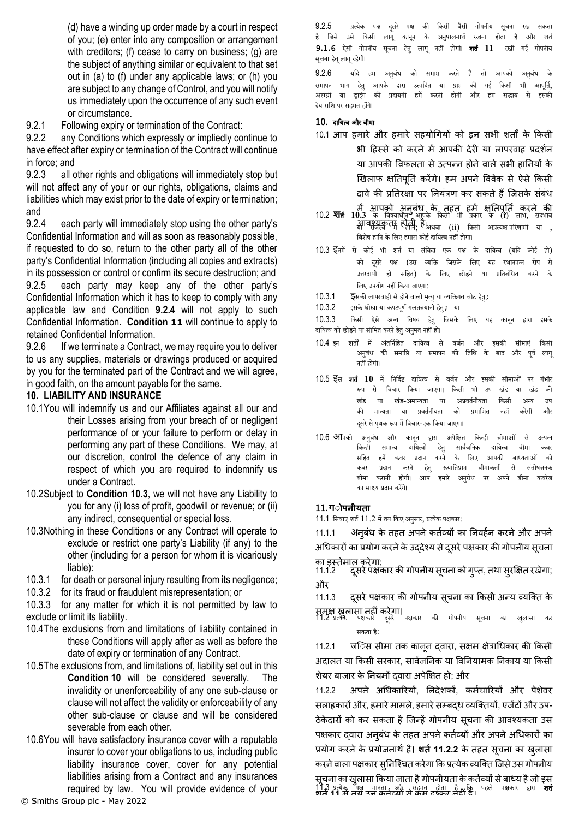(d) have a winding up order made by a court in respect of you; (e) enter into any composition or arrangement with creditors; (f) cease to carry on business; (g) are the subject of anything similar or equivalent to that set out in (a) to (f) under any applicable laws; or (h) you are subject to any change of Control, and you will notify us immediately upon the occurrence of any such event or circumstance.

9.2.1 Following expiry or termination of the Contract:

9.2.2 any Conditions which expressly or impliedly continue to have effect after expiry or termination of the Contract will continue in force; and

9.2.3 all other rights and obligations will immediately stop but will not affect any of your or our rights, obligations, claims and liabilities which may exist prior to the date of expiry or termination; and

<span id="page-7-0"></span>9.2.4 each party will immediately stop using the other party's Confidential Information and will as soon as reasonably possible, if requested to do so, return to the other party all of the other party's Confidential Information (including all copies and extracts) in its possession or control or confirm its secure destruction; and 9.2.5 each party may keep any of the other party's Confidential Information which it has to keep to comply with any applicable law and Condition **[9.2.4](#page-7-0)** will not apply to such Confidential Information. **Condition [11](#page-8-0)** will continue to apply to retained Confidential Information.

9.2.6 If we terminate a Contract, we may require you to deliver to us any supplies, materials or drawings produced or acquired by you for the terminated part of the Contract and we will agree, in good faith, on the amount payable for the same.

### <span id="page-7-2"></span>**10. LIABILITY AND INSURANCE**

- 10.1You will indemnify us and our Affiliates against all our and their Losses arising from your breach of or negligent performance of or your failure to perform or delay in performing any part of these Conditions. We may, at our discretion, control the defence of any claim in respect of which you are required to indemnify us under a Contract.
- 10.2Subject to **Condition [10.3](#page-7-1)**, we will not have any Liability to you for any (i) loss of profit, goodwill or revenue; or (ii) any indirect, consequential or special loss.
- <span id="page-7-1"></span>10.3Nothing in these Conditions or any Contract will operate to exclude or restrict one party's Liability (if any) to the other (including for a person for whom it is vicariously liable):

10.3.1 for death or personal injury resulting from its negligence;

10.3.2 for its fraud or fraudulent misrepresentation; or

10.3.3 for any matter for which it is not permitted by law to exclude or limit its liability.

- 10.4The exclusions from and limitations of liability contained in these Conditions will apply after as well as before the date of expiry or termination of any Contract.
- 10.5The exclusions from, and limitations of, liability set out in this **Condition [10](#page-7-2)** will be considered severally. The invalidity or unenforceability of any one sub-clause or clause will not affect the validity or enforceability of any other sub-clause or clause and will be considered severable from each other.
- 10.6You will have satisfactory insurance cover with a reputable insurer to cover your obligations to us, including public liability insurance cover, cover for any potential liabilities arising from a Contract and any insurances required by law. You will provide evidence of your

9.2.5 प्रत्येक पक्ष दूसरे पक्ष की किसी वैसी गोपनीय सूचना रख सकता<br>है जिसे उसे किसी लागू कानून के अनुपालनार्थ रखना होता है और शर्त है जिसे उसे किसी लागू कानून के अनुपालनार्थ रखना होता है और शर्त **9.1.6** ऐसी गोपिीय सचूिा हर्तेु िागू िहीं होगी। शर्तथ **11** रखी गई गोपिीय सूचना हेतू लागू रहेगी।

9.2.6 यदि हम अनुबंध को समाप्त करते हैं तो आपको अनुबंध के समापन भाग हेतु आपके द्वारा उत्पदित या प्राप्त की गई किसी भी आपूर्ति, अस्म्ग्री या ड्राइगं की प्रदायगी हमें करिी होगी और हम सद्भाि से इसकी देय रानश पर सहमर्त होंगे।

#### **10.** दानयत्ि और बीमा

- 10.1 आप हमारे और हमारे सहयोगियों को इन सभी शर्तों के किसी भी हिस्से को करने में आपकी देरी या लापरवाह प्रदर्शन या आपकी विफलता से उत्पन्न होने वाले सभी हानियों के खिलाफ क्षतिपूर्ति करेंगे। हम अपने विवेक से ऐसे किसी दावे की प्रतिरक्षा पर नियंत्रण कर सकते हैं जिसके संबंध
- में आपको अनुबंध के तहत हमें क्षतिपति करने की<br>10.2 **शति 10.3** के निषयाधीन**्**र आपके किसी भी प्रकार के (1) लाभ, सदभाव आवश्यकता होती है।<br>या राजस्व में होती, है। विशेष हानि के लिए हमारा कोई दायित्व नहीं होगा।
- 10.3 ईनमें से कोई भी शर्त या संविदा एक पक्ष के दायित्व (यदि कोई हो) को दसरे पक्ष (उस व्यक्ति जिसके लिए यह स्थानपन्न रोप से उत्तरदायी हो सनहर्त) के निए छोड़िे या प्रनर्तबंनिर्त करिे के लिए उपयोग नहीं किया जाएगा:
- 10.3.1 **इसकी लापरवाही से होने वाली मत्यु**या व्यक्तिगत चोट हेत्;
- $10.3.2$  इसके धोखा या कपटपूर्ण गलतबयानी हेतु; या

10.3.3 नकसी ऐसे अन्य निर्य हर्तेु नजसके निए यह कािूि द्वारा इसके दायित्व को छोड़ने या सीमित करने हेतु अनुमत नहीं हो।

- 10.4 इन शर्तों में अंतर्निहित दायित्व से वर्जन और इसकी सीमाएं किसी अनुबंध की समाप्ति या समापन की तिथि के बाद और पूर्व लागू िहीं होंगी।
- 10.5 ईस **शर्त 10** में निर्दिष्ट दायित्व से वर्जन और इसकी सीमाओं पर गंभीर रूप से विचार किया जाएगा। किसी भी उप खंड या खंड की खंड या खंड-अमान्यता या अप्रवर्तनीयता किसी अन्य उप की मान्यता या प्रवर्तनीयता को प्रमाणित नहीं करेगी और दसरे से पथक रूप में विचार-एक किया जाएगा।
- 10.6 अपिको अनबंध और कानन द्वारा अपेक्षित किन्ही बीमाओं से उत्पन्न किन्ही समान्य दायित्वों हेतु सार्वजनिक दायित्व वीमा कवर सहित हमें कवर प्रदान करने के लिए आपकी बाध्यताओं को<br>कवर प्रदान करने हेत् ख्यातिप्राप्त बीमाकर्ता से संतोषजनक कवर प्रदान करने हेतु ख्यातिप्राप्त बीमाकर्ता से संतोषजनक बीमा करानी होगी। आप हमारे अनुरोध पर अपने बीमा कवरेज का साक्ष्य प्रदान करेंगे।

#### **11.गोोपनीयर्ता**

11.1 सिवाए शर्त  $11.2$  में तय किए अनुसार, प्रत्येक पक्षकार:

11.1.1 अनुबंध के तहत अपनेकताव्यों का ननवहान करनेऔर अपने अधिकारों का प्रयोग करने के उद्देश्य से दूसरे पक्षकार की गोपनीय सूचना

- का इस्तेमाल करेगा;<br>11.1.2 दसरे पक्ष 11.1.2 दसू रेपक्षकार की गोपनीय सचू ना को गप्ुत, तथा सरुक्षक्षत रखेगा; और
- 11.1.3 दूसरे पक्षकार की गोपनीय सूचना का किसी अन्य व्यक्ति के

समक्ष खुलासा नहीं करेगा।<br>11.2 प्रत्येक पक्षकार दूसरे पक्षकार की गोपनीय सूचना का खुलासा कर सकर्ता है:

11.2.1 जिल्सि सीमा तक कानून दवारा, सक्षम क्षेत्राधिकार की किसी अदालत या किसी सरकार, सार्वजनिक या विनियामक निकाय या किसी शेयर बाजार के ननयमों द्वारा अपेक्षक्षत हो; और

11.2.2 अपने अग्रधकाररयों, ननदेशकों, कमाचाररयों और पेशेवर सलाहकारों और, हमारे मामले, हमारे सम्बद्ध व्यक्तियों, एजेंटों और उप-ठेकेदारों को कर सकता है जिन्हें गोपनीय सूचना की आवश्यकता उस पक्षकार दवारा अनुबंध के तहत अपने कर्तव्यों और अपने अधिकारों का प्रयोग करने के प्रयोजनार्थ है। शर्त 11.2.2 के तहत सूचना का खुलासा करने वाला पक्षकार सनिश्चित करेगा कि प्रत्येक व्यक्ति जिसे उस गोपनीय सूचना का खुलासा किया जाता है गोपनीयता के कर्तव्यों से बाध्य है जो इस 11.3 प्रत्येक <u>जय समुता, और उनहमत होता, है अ</u>पि पहले पक्षकार द्वारा **शर्त**<br>**शन 11 में** नगे समुद्रित होर्ता से कम रहेकर नहीं है।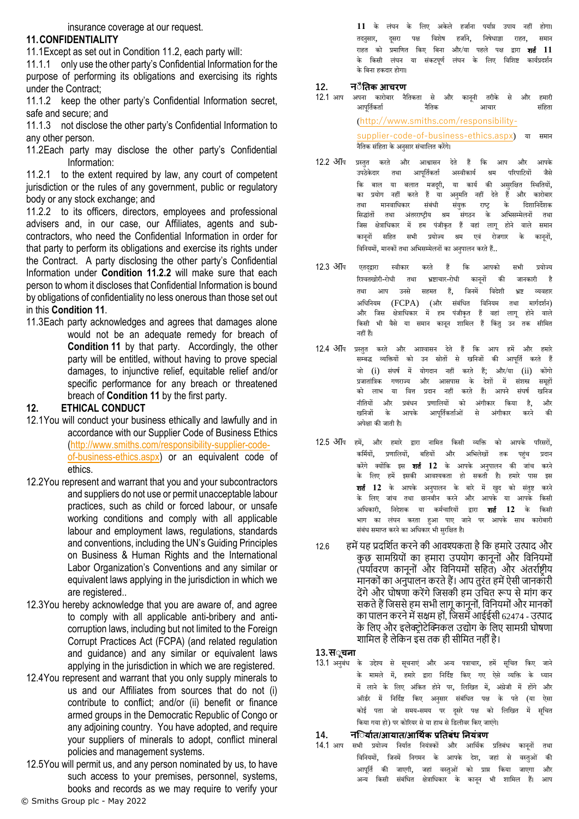insurance coverage at our request.

# <span id="page-8-0"></span>**11.CONFIDENTIALITY**

11.1Except as set out in Condition [11.2,](#page-8-1) each party will:

11.1.1 only use the other party's Confidential Information for the purpose of performing its obligations and exercising its rights under the Contract;

11.1.2 keep the other party's Confidential Information secret, safe and secure; and

11.1.3 not disclose the other party's Confidential Information to any other person.

<span id="page-8-1"></span>11.2Each party may disclose the other party's Confidential Information:

11.2.1 to the extent required by law, any court of competent jurisdiction or the rules of any government, public or regulatory body or any stock exchange; and

<span id="page-8-2"></span>11.2.2 to its officers, directors, employees and professional advisers and, in our case, our Affiliates, agents and subcontractors, who need the Confidential Information in order for that party to perform its obligations and exercise its rights under the Contract. A party disclosing the other party's Confidential Information under **Condition [11.2.2](#page-8-2)** will make sure that each person to whom it discloses that Confidential Information is bound by obligations of confidentiality no less onerous than those set out in this **Conditio[n 11](#page-8-0)**.

11.3Each party acknowledges and agrees that damages alone would not be an adequate remedy for breach of **Condition [11](#page-8-0)** by that party. Accordingly, the other party will be entitled, without having to prove special damages, to injunctive relief, equitable relief and/or specific performance for any breach or threatened breach of **Condition [11](#page-8-0)** by the first party.

# <span id="page-8-3"></span>**12. ETHICAL CONDUCT**

- 12.1You will conduct your business ethically and lawfully and in accordance with our Supplier Code of Business Ethics [\(http://www.smiths.com/responsibility-supplier-code](http://www.smiths.com/responsibility-supplier-code-of-business-ethics.aspx)[of-business-ethics.aspx\)](http://www.smiths.com/responsibility-supplier-code-of-business-ethics.aspx) or an equivalent code of ethics.
- 12.2You represent and warrant that you and your subcontractors and suppliers do not use or permit unacceptable labour practices, such as child or forced labour, or unsafe working conditions and comply with all applicable labour and employment laws, regulations, standards and conventions, including the UN's Guiding Principles on Business & Human Rights and the International Labor Organization's Conventions and any similar or equivalent laws applying in the jurisdiction in which we are registered..
- 12.3You hereby acknowledge that you are aware of, and agree to comply with all applicable anti-bribery and anticorruption laws, including but not limited to the Foreign Corrupt Practices Act (FCPA) (and related regulation and guidance) and any similar or equivalent laws applying in the jurisdiction in which we are registered.
- 12.4You represent and warrant that you only supply minerals to us and our Affiliates from sources that do not (i) contribute to conflict; and/or (ii) benefit or finance armed groups in the Democratic Republic of Congo or any adjoining country. You have adopted, and require your suppliers of minerals to adopt, conflict mineral policies and management systems.
- 12.5You will permit us, and any person nominated by us, to have such access to your premises, personnel, systems, books and records as we may require to verify your

11 के लंघन के लिए अकेले हर्जाना पर्याप्त उपाय नहीं होगा। तदनुसार, दूसरा पक्ष विशेष हर्जाने, निषेधाज्ञा राहत, समान राहर्त को प्रमानणर्त नकए नबिा और/या पहिे पक्ष द्वारा शर्तथ **11** के किसी लंघन या संकटपूर्ण लंघन के लिए विशिष्ट कार्यप्रदर्शन के बिना हकदार होगा।

# **12. नोैनर्तक आचिण**

- 12.1 आप अपिा कारोबार िैनर्तकर्ता से और कािूिी र्तरीके से और हमारी आपूर्तिकर्ता – नैतिक – आचार ([http://www.smiths.com/responsibility](http://www.smiths.com/responsibility-supplier-code-of-business-ethics.aspx)[supplier-code-of-business-ethics.aspx](http://www.smiths.com/responsibility-supplier-code-of-business-ethics.aspx)) या समाि िैनर्तक संनहर्ता केअिुसार संचानिर्त करेंगे।
- 12.2 आप प्रस्र्तुर्त करर्ते और आश्वासि देर्ते हैं नक आप और आपके उपठेकेदार तथा आपूर्तिकर्ता अस्वीकार्य श्रम परिपाटियों जैसे कि बाल या बलात मजदूरी, या कार्य की असुरक्षित स्थितियों,<br>का प्रयोग नहीं करते हैं या अनमति नहीं देते हैं और कारोबार का प्रयोग नहीं करते हैं या अनमति नहीं देते हैं और कारोबार तथा मानवाधिकार संबंधी संयुक्त राष्ट्र के दिशानिर्देशक सिद्धांतों तथा अंतरराष्ट्रीय श्रम संगठन के अभिसम्मेलनों तथा जिस क्षेत्राधिकार में हम पंजीकृत हैं वहां लागू होने वाले समान कानूनों सहित सभी प्रयोज्य श्रम एवं रोजगार के कानूनों, विनियमों, मानकों तथा अभिसम्मेलनों का अनुपालन करते हैं..
- 12.3 अीप एतदद्वारा स्वीकार करते हैं कि आपको सभी प्रयोज्य रिश्वतखोरी-रोधी तथा भ्रष्टाचार-रोधी कानूनों की जानकारी है तथा आप उनसे सहमत हैं, जिनमें विदेशी <mark>भ्रष्ट</mark> व्यवहार अधिनियम (FCPA) (और संबंधित विनियम तथा मार्गदर्शन)<br>और जिस क्षेत्राधिकार में हम पंजीकत हैं वहां लाग होने वाले और जिस क्षेत्राधिकार में हम पंजीकृत हैं वहां लागू होने वाले<br>किसी भी वैसे या समान कानन शामिल हैं किंत उन तक सीमित वैसे या समान कानून शामिल हैं किंतु उन िहीं हैं।
- 12.4 आप प्रस्तुत करते और आश्वासन देते हैं कि आप हमें और हमारे सम्बद्ध व्यक्तियों को उन स्रोतों से खनिजों की आपूर्ति करते हैं जो (i) संघर्ष में योगदान नहीं करते हैं; और/या (ii) कोंगो<br>प्रजातांत्रिक गणगत्त्य और आम्रणम्म के देशों में मंश्रस्त ममहों प्रजार्तांनत्रक गणराज्य और आसपास के देशों में संशस्त्र समूहों को लाभ या वित्त प्रदान नहीं करते हैं। आपन<mark>े</mark> संघर्ष खनिज नीतियों और प्रबंधन प्रणालियों को अंगीकार किया है, और<br>खनिजों के आपके आपर्तिकर्ताओं से अंगीकार करने की आपके आपर्तिकर्ताओं से अंगीकार करने अपेक्षा की जार्ती है।
- 12.5 अींप हमें, और हमारे द्वारा नामित किसी व्यक्ति को आपके परिसरों, कर्मियों, प्रणालियों, बहियों और अभिलेखों तक पहुंच प्रदान करेंगे क्योंकि इस **शर्त 12** के आपके अनुपालन की जांच करने<br>के लिए हमें इसकी आवश्यकता हो सकती है। हमारे पास इस के निए हमें इसकी आिश्यकर्ता हो सकर्ती है। हमारे पास इस **शर्त 12** के आपके अनुपालन के बारे में खुद को संतुष्ट करने के निए जांच र्तर्ा छािबीि करिे और आपके या आपके नकसी अधिकारी, निदेशक या कर्मचारियों द्वारा **शर्त 12** के किसी भाग का लंघन करता हुआ पाए जाने पर आपके साथ कारोबारी संबंध समाप्त करने का अधिकार भी सरक्षित है।
- 12.6 हमें यह प्रदर्शित करने की आवश्यकता है कि हमारे उत्पाद और कुछ सामग्रियों का हमारा उपयोग कानूनों और विनियमों  $\overline{X}$ (पर्यावरण कानूनों और विनियमों सहित) और अंतर्राष्ट्रीय मानकों का अनुपालन करते हैं। आप तरंत हमें ऐसी जानकारी देंगे और घोषणा करेंगे जिसकी हम उचित रूप से मांग कर सकते हैं जिससे हम सभी लागू कानूनों, विनियमों और मानकों का पालन करने में सक्षम हों, जिसमें आईईसी 62474 - उत्पाद के लिए और इलेक्ट्रोटेक्निकल उद्योग के लिए सामग्री घोषणा शार्मल हैलेर्कन इस तक ही सीर्मत नहीोंहै।

**13.सोूचना**

13.1 अनुबंध के उद्देश्य से सूचनाएं और अन्य पत्राचार, हमें सूचित किए जाने के मामले में, हमारे द्वारा निर्दिष्ट किए गए ऐसे व्यक्ति के ध्यान में िािे के निए अंनकर्त होिे पर, निनखर्त में, अंग्रेजी में होंगे और ऑर्डर में निर्दिष्ट किए अनसार संबंधित पक्ष के पते (या ऐसा कोई पता जो समय-समय पर दसरे पक्ष को लिखित में सचित किया गया हो) पर कोरियर से या हाथ से डिलीवर किए जाएंगे।

#### **14. निोयातर्त/आयार्त/आधथतक प्रनर्तबंध ननयंत्रण**

14.1 आप सभी प्रयोज्य निर्यात नियंत्रकों और आर्थिक प्रतिबंध कानूनों तथा विनियमों, जिनमें निगमन के आपके देश, जहां से वस्तुओं की आपूर्ति की जाएगी, जहां वस्तुओं को प्राप्त किया जाएगा और अन्य किसी संबंधित क्षेत्राधिकार के कानून भी शामिल हैं। आप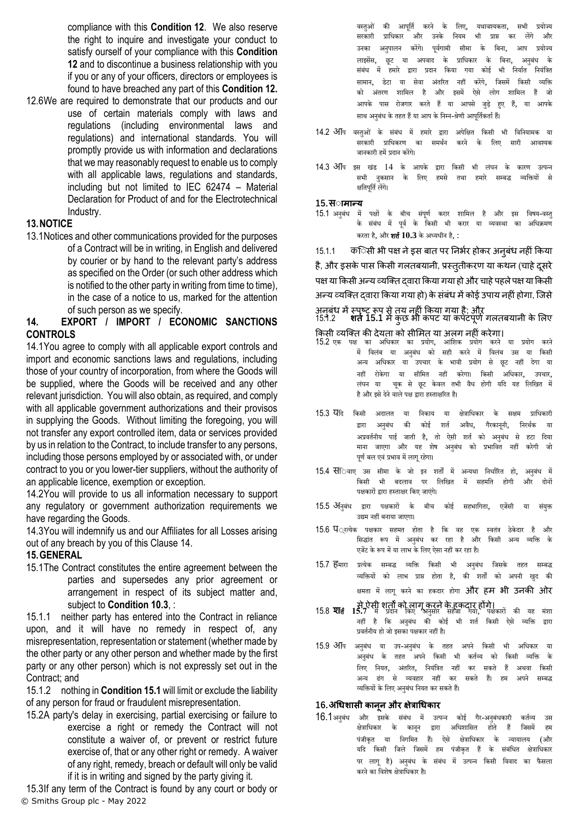compliance with this **Condition [12](#page-8-3)**. We also reserve the right to inquire and investigate your conduct to satisfy ourself of your compliance with this **Condition [12](#page-8-3)** and to discontinue a business relationship with you if you or any of your officers, directors or employees is found to have breached any part of this **Condition [12.](#page-8-3)**

12.6We are required to demonstrate that our products and our use of certain materials comply with laws and regulations (including environmental laws and regulations) and international standards. You will promptly provide us with information and declarations that we may reasonably request to enable us to comply with all applicable laws, regulations and standards, including but not limited to IEC 62474 – Material Declaration for Product of and for the Electrotechnical Industry.

#### **13.NOTICE**

13.1Notices and other communications provided for the purposes of a Contract will be in writing, in English and delivered by courier or by hand to the relevant party's address as specified on the Order (or such other address which is notified to the other party in writing from time to time), in the case of a notice to us, marked for the attention of such person as we specify.

## <span id="page-9-0"></span>**14. EXPORT / IMPORT / ECONOMIC SANCTIONS CONTROLS**

14.1You agree to comply with all applicable export controls and import and economic sanctions laws and regulations, including those of your country of incorporation, from where the Goods will be supplied, where the Goods will be received and any other relevant jurisdiction. You will also obtain, as required, and comply with all applicable government authorizations and their provisos in supplying the Goods. Without limiting the foregoing, you will not transfer any export controlled item, data or services provided by us in relation to the Contract, to include transfer to any persons, including those persons employed by or associated with, or under contract to you or you lower-tier suppliers, without the authority of an applicable licence, exemption or exception.

14.2You will provide to us all information necessary to support any regulatory or government authorization requirements we have regarding the Goods.

14.3You will indemnify us and our Affiliates for all Losses arising out of any breach by you of this Clause [14.](#page-9-0)

#### **15.GENERAL**

<span id="page-9-1"></span>15.1The Contract constitutes the entire agreement between the parties and supersedes any prior agreement or arrangement in respect of its subject matter and, subject to **Condition [10.3](#page-7-1)**, :

15.1.1 neither party has entered into the Contract in reliance upon, and it will have no remedy in respect of, any misrepresentation, representation or statement (whether made by the other party or any other person and whether made by the first party or any other person) which is not expressly set out in the Contract; and

15.1.2 nothing in **Conditio[n 15.1](#page-9-1)** will limit or exclude the liability of any person for fraud or fraudulent misrepresentation.

15.2A party's delay in exercising, partial exercising or failure to exercise a right or remedy the Contract will not constitute a waiver of, or prevent or restrict future exercise of, that or any other right or remedy. A waiver of any right, remedy, breach or default will only be valid if it is in writing and signed by the party giving it.

© Smiths Group plc - May 2022 15.3If any term of the Contract is found by any court or body or वस्तुओं की आपूर्ति करने के लिए, यथावश्यकता, सभी प्रयोज्य सरकारी प्राधिकार और उनके नियम भी प्राप्त कर लेंगे और उनका अनुपालन करेंगे। पूर्वगामी सीमा के बिना, आप प्रयोज्य लाइसेंस, छूट या अपवाद के प्राधिकार के बिना, अनुबंध के संबंध में हमारे द्वारा प्रदान किया गया कोई भी निर्यात नियंत्रित सामान, डेटा या सेवा अंतरित नहीं करेंगे, जिसमें किसी व्यक्ति को अंर्तरण शानमि है और इसमें ऐसे िोग शानमि हैं जो आपके पास रोजगार करर्ते हैं या आपसे जुड़े हुए हैं, या आपके साथ अनुबंध के तहत हैं या आप के निम्न-श्रेणी आपूर्तिकर्ता हैं।

- 14.2 अीपि वस्तुओं के संबंध में हमारे द्वारा अपेक्षित किसी भी विनियामक या<br>सरकारी प्राधिकरण का समर्थन करने के लिए सारी आवश्यक सरकारी प्रानिकरण का समर्थि करिे के निए सारी आिश्यक जानकारी हमें प्रदान करेंगे।
- $14.3$  अपि इस खंड  $14$  के आपके द्वारा किसी भी लंघन के कारण उत्पन्न सभी नकसान के लिए हमसे तथा हमारे सम्बद्ध क्षतिपूर्ति लेंगे।

#### **15.सोामान्य**

15.1 अनुबंध में पक्षों के बीच संपूर्ण करार शामिल है और इस विषय-वस्तु के संबंध में पूर्व के किसी भी करार या व्यवस्था का अधिक्रमण करर्ता है, और शर्तथ**10.3** केअध्यिीि है, :

15.1.1 किलिसी भी पक्ष ने इस बात पर निर्भर होकर अनुबंध नहीं किया है, और इसके पास किसी गलतबयानी, प्रस्तुतीकरण या कथन (चाहे दुसरे पक्ष या किसी अन्य व्यक्ति दवारा किया गया हो और चाहे पहले पक्ष या किसी अन्य व्यक्तत द्वारा क्रकया गया हो) केसंबंध मेंकोई उपाय नहींहोगा, क्जसे अनुबंध में स्पष्ट रूप से तय नहीं किया गया है; और<br>[15.1](#page-9-1).2 **शत** 15.1 में कुछ भी कपट या कपटपूर्ण गलतबयानी के लिए

किसी व्यक्ति की देयता को सीमित या अलग नहीं करेगा।

- 15.2 एक पक्ष का अनिकार का प्रयोग, आनंशक प्रयोग करिे या प्रयोग करिे में विलंब या अनुबंध को सही करने में विलंब उस या किसी अन्य अधिकार या उपचार के भावी प्रयोग से छूट नहीं देगा या नहीं रोकेगा या सीमित नहीं करेगा। किसी अधिकार, उपचार, लंघन या चूक से छूट केवल तभी वैध होगी यदि यह लिखित में है और इसे देने वाले पक्ष द्वारा हस्ताक्षरित है।
- 15.3 येदि किसी अदालत या निकाय या क्षेत्राधिकार के सक्षम प्राधिकारी द्वारा अनुबंध की कोई शर्त अवैध, गैरकानूनी, निरर्थक या अप्रवर्तनीय पाई जाती है, तो ऐसी शर्त को अनुबंध से हटा दिया माना जाएगा और यह शेष अनुबंध को प्रभावित नहीं करेगी जो पर्ण बल एवं प्रभाव में लाग रहेगा।
- 15.4 सििवाए उस सीमा के जो इन शर्तों में अन्यथा निर्धारित हो, अनुबंध में<br>किसी भी किसी भी बदलाव पर लिखित में सहमति होगी और दोनों किसी भी बदलाव पर लिखित में सहमति होगी और दोनों पक्षकारों द्वारा हस्र्ताक्षर नकए जाएंगे।
- 15.5 अनुबंध द्वारा पक्षकारों के बीच कोई सहभागिता, एजेंसी या संयुक्त उद्यम नहीं बनाया जाएगा।
- 15.6 प<sub>्रत्येक</sub> पक्षकार सहमत होता है कि वह एक स्वतंत्र ठेकेदार है और सिद्धांत रूप में अनुबंध कर रहा है और किसी अन्य व्यक्ति के एजेंट के रूप में या लाभ के लिए ऐसा नहीं कर रहा है।
- 15.7 हिमारा प्रत्येक सम्बद्ध व्यक्ति किसी भी अनुबंध जिसके तहत सम्बद्ध व्यक्तियों को लाभ प्राप्त होता है, की शर्तों को अपनी खुद की क्षमता में लागू करने का हकदार होगा **और हम भी उनकी ओर**

सेऐसी शर्तों को लागूकरनेकेहकदार होंगे। 15.8 **<sup>श</sup>**र्तथ **15.7** में प्रदाि नकए अिुसार सहेजा गया, पक्षकारों की यह मंशा िहीं है नक अिुबंि की कोई र्ी शर्तथ नकसी ऐसे व्यनि द्वारा प्रवर्तनीय हो जो इसका पक्षकार नहीं है।

15.9 अींप अनुबंध या उप-अनुबंध के तहत अपने किसी भी अधिकार या अनुबंध के तहत अपने किसी भी कर्तव्य को किसी व्यक्ति के लिए नियत, अंतरित, नियंत्रित नहीं कर सकते हैं अथवा किसी<br>अन्य ढंग से व्यवहार नहीं कर सकते हैं। हम अपने सम्बद्ध अन्य ढंग से व्यिहार िहीं कर सकर्ते हैं। हम अपिे सम्बद्ध व्यक्तियों के लिए अनबंध नियत कर सकते हैं।

#### **16.अधधशासी कानून औि क्षेत्राधधकाि**

16.1अनुबंध और इसके संबंध में उत्पन्न कोई गैर-अनुबंधकारी कर्तव्य उस<br>के कोशिकार के कानन द्वारा अधिशासित होते हैं जिसमें हम कानून द्वारा अधिशासित होते हैं जिसमें हम पंजीकृत या निगमित हैं। ऐसे क्षेत्राधिकार के न्यायालय (और यदि किसी जिले जिसमें हम पंजीकृत हैं के संबंधित क्षेत्राधिकार पर लागू है) अनुबंध के संबंध में उत्पन्न किसी विवाद का फैसला करिेका निशेर् क्षेत्रानिकार है।